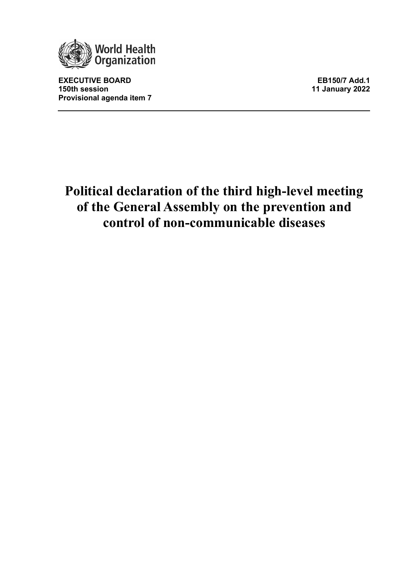

**EXECUTIVE BOARD EB150/7 Add.1 Provisional agenda item 7**

**150th session 11 January 2022**

# **Political declaration of the third high-level meeting of the General Assembly on the prevention and control of non-communicable diseases**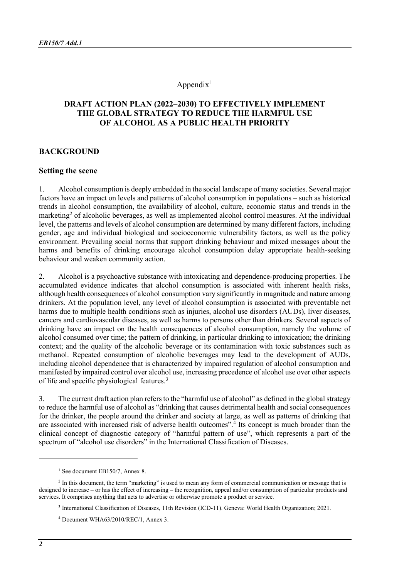# Appendix $<sup>1</sup>$  $<sup>1</sup>$  $<sup>1</sup>$ </sup>

## **DRAFT ACTION PLAN (2022–2030) TO EFFECTIVELY IMPLEMENT THE GLOBAL STRATEGY TO REDUCE THE HARMFUL USE OF ALCOHOL AS A PUBLIC HEALTH PRIORITY**

#### **BACKGROUND**

#### **Setting the scene**

1. Alcohol consumption is deeply embedded in the social landscape of many societies. Several major factors have an impact on levels and patterns of alcohol consumption in populations – such as historical trends in alcohol consumption, the availability of alcohol, culture, economic status and trends in the marketing<sup>[2](#page-1-1)</sup> of alcoholic beverages, as well as implemented alcohol control measures. At the individual level, the patterns and levels of alcohol consumption are determined by many different factors, including gender, age and individual biological and socioeconomic vulnerability factors, as well as the policy environment. Prevailing social norms that support drinking behaviour and mixed messages about the harms and benefits of drinking encourage alcohol consumption delay appropriate health-seeking behaviour and weaken community action.

2. Alcohol is a psychoactive substance with intoxicating and dependence-producing properties. The accumulated evidence indicates that alcohol consumption is associated with inherent health risks, although health consequences of alcohol consumption vary significantly in magnitude and nature among drinkers. At the population level, any level of alcohol consumption is associated with preventable net harms due to multiple health conditions such as injuries, alcohol use disorders (AUDs), liver diseases, cancers and cardiovascular diseases, as well as harms to persons other than drinkers. Several aspects of drinking have an impact on the health consequences of alcohol consumption, namely the volume of alcohol consumed over time; the pattern of drinking, in particular drinking to intoxication; the drinking context; and the quality of the alcoholic beverage or its contamination with toxic substances such as methanol. Repeated consumption of alcoholic beverages may lead to the development of AUDs, including alcohol dependence that is characterized by impaired regulation of alcohol consumption and manifested by impaired control over alcohol use, increasing precedence of alcohol use over other aspects of life and specific physiological features.[3](#page-1-2)

3. The current draft action plan refers to the "harmful use of alcohol" as defined in the global strategy to reduce the harmful use of alcohol as "drinking that causes detrimental health and social consequences for the drinker, the people around the drinker and society at large, as well as patterns of drinking that are associated with increased risk of adverse health outcomes".[4](#page-1-3) Its concept is much broader than the clinical concept of diagnostic category of "harmful pattern of use", which represents a part of the spectrum of "alcohol use disorders" in the International Classification of Diseases.

<sup>&</sup>lt;sup>1</sup> See document EB150/7, Annex 8.

<span id="page-1-3"></span><span id="page-1-2"></span><span id="page-1-1"></span><span id="page-1-0"></span><sup>&</sup>lt;sup>2</sup> In this document, the term "marketing" is used to mean any form of commercial communication or message that is designed to increase – or has the effect of increasing – the recognition, appeal and/or consumption of particular products and services. It comprises anything that acts to advertise or otherwise promote a product or service.

<sup>3</sup> International Classification of Diseases, 11th Revision (ICD-11). Geneva: World Health Organization; 2021.

<sup>4</sup> Document WHA63/2010/REC/1, Annex 3.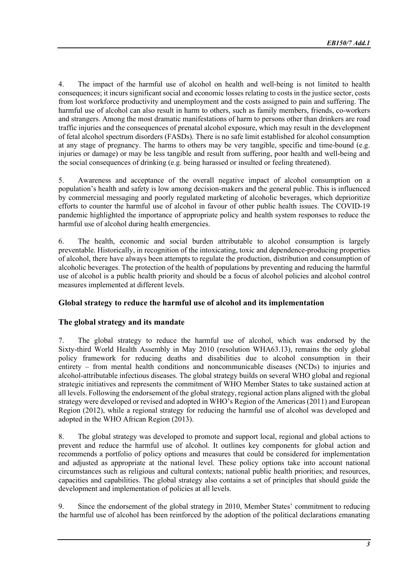4. The impact of the harmful use of alcohol on health and well-being is not limited to health consequences; it incurs significant social and economic losses relating to costs in the justice sector, costs from lost workforce productivity and unemployment and the costs assigned to pain and suffering. The harmful use of alcohol can also result in harm to others, such as family members, friends, co-workers and strangers. Among the most dramatic manifestations of harm to persons other than drinkers are road traffic injuries and the consequences of prenatal alcohol exposure, which may result in the development of fetal alcohol spectrum disorders (FASDs). There is no safe limit established for alcohol consumption at any stage of pregnancy. The harms to others may be very tangible, specific and time-bound (e.g. injuries or damage) or may be less tangible and result from suffering, poor health and well-being and the social consequences of drinking (e.g. being harassed or insulted or feeling threatened).

5. Awareness and acceptance of the overall negative impact of alcohol consumption on a population's health and safety is low among decision-makers and the general public. This is influenced by commercial messaging and poorly regulated marketing of alcoholic beverages, which deprioritize efforts to counter the harmful use of alcohol in favour of other public health issues. The COVID-19 pandemic highlighted the importance of appropriate policy and health system responses to reduce the harmful use of alcohol during health emergencies.

6. The health, economic and social burden attributable to alcohol consumption is largely preventable. Historically, in recognition of the intoxicating, toxic and dependence-producing properties of alcohol, there have always been attempts to regulate the production, distribution and consumption of alcoholic beverages. The protection of the health of populations by preventing and reducing the harmful use of alcohol is a public health priority and should be a focus of alcohol policies and alcohol control measures implemented at different levels.

# **Global strategy to reduce the harmful use of alcohol and its implementation**

## **The global strategy and its mandate**

7. The global strategy to reduce the harmful use of alcohol, which was endorsed by the Sixty-third World Health Assembly in May 2010 (resolution WHA63.13), remains the only global policy framework for reducing deaths and disabilities due to alcohol consumption in their entirety – from mental health conditions and noncommunicable diseases (NCDs) to injuries and alcohol-attributable infectious diseases. The global strategy builds on several WHO global and regional strategic initiatives and represents the commitment of WHO Member States to take sustained action at all levels. Following the endorsement of the global strategy, regional action plans aligned with the global strategy were developed or revised and adopted in WHO's Region of the Americas (2011) and European Region (2012), while a regional strategy for reducing the harmful use of alcohol was developed and adopted in the WHO African Region (2013).

8. The global strategy was developed to promote and support local, regional and global actions to prevent and reduce the harmful use of alcohol. It outlines key components for global action and recommends a portfolio of policy options and measures that could be considered for implementation and adjusted as appropriate at the national level. These policy options take into account national circumstances such as religious and cultural contexts; national public health priorities; and resources, capacities and capabilities. The global strategy also contains a set of principles that should guide the development and implementation of policies at all levels.

9. Since the endorsement of the global strategy in 2010, Member States' commitment to reducing the harmful use of alcohol has been reinforced by the adoption of the political declarations emanating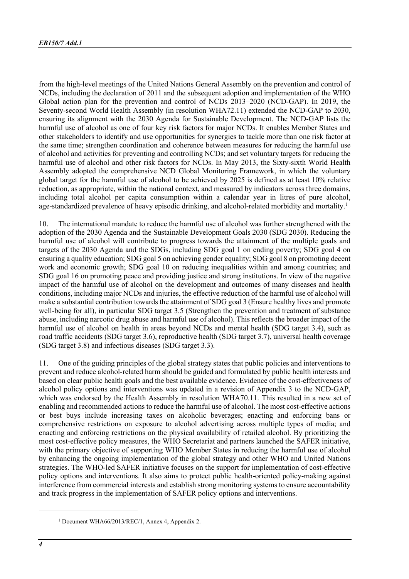from the high-level meetings of the United Nations General Assembly on the prevention and control of NCDs, including the declaration of 2011 and the subsequent adoption and implementation of the WHO Global action plan for the prevention and control of NCDs 2013–2020 (NCD-GAP). In 2019, the Seventy-second World Health Assembly (in resolution WHA72.11) extended the NCD-GAP to 2030, ensuring its alignment with the 2030 Agenda for Sustainable Development. The NCD-GAP lists the harmful use of alcohol as one of four key risk factors for major NCDs. It enables Member States and other stakeholders to identify and use opportunities for synergies to tackle more than one risk factor at the same time; strengthen coordination and coherence between measures for reducing the harmful use of alcohol and activities for preventing and controlling NCDs; and set voluntary targets for reducing the harmful use of alcohol and other risk factors for NCDs. In May 2013, the Sixty-sixth World Health Assembly adopted the comprehensive NCD Global Monitoring Framework, in which the voluntary global target for the harmful use of alcohol to be achieved by 2025 is defined as at least 10% relative reduction, as appropriate, within the national context, and measured by indicators across three domains, including total alcohol per capita consumption within a calendar year in litres of pure alcohol, age-standardized prevalence of heavy episodic drinking, and alcohol-related morbidity and mortality.[1](#page-3-0)

10. The international mandate to reduce the harmful use of alcohol was further strengthened with the adoption of the 2030 Agenda and the Sustainable Development Goals 2030 (SDG 2030). Reducing the harmful use of alcohol will contribute to progress towards the attainment of the multiple goals and targets of the 2030 Agenda and the SDGs, including SDG goal 1 on ending poverty; SDG goal 4 on ensuring a quality education; SDG goal 5 on achieving gender equality; SDG goal 8 on promoting decent work and economic growth; SDG goal 10 on reducing inequalities within and among countries; and SDG goal 16 on promoting peace and providing justice and strong institutions. In view of the negative impact of the harmful use of alcohol on the development and outcomes of many diseases and health conditions, including major NCDs and injuries, the effective reduction of the harmful use of alcohol will make a substantial contribution towards the attainment of SDG goal 3 (Ensure healthy lives and promote well-being for all), in particular SDG target 3.5 (Strengthen the prevention and treatment of substance abuse, including narcotic drug abuse and harmful use of alcohol). This reflects the broader impact of the harmful use of alcohol on health in areas beyond NCDs and mental health (SDG target 3.4), such as road traffic accidents (SDG target 3.6), reproductive health (SDG target 3.7), universal health coverage (SDG target 3.8) and infectious diseases (SDG target 3.3).

11. One of the guiding principles of the global strategy states that public policies and interventions to prevent and reduce alcohol-related harm should be guided and formulated by public health interests and based on clear public health goals and the best available evidence. Evidence of the cost-effectiveness of alcohol policy options and interventions was updated in a revision of Appendix 3 to the NCD-GAP, which was endorsed by the Health Assembly in resolution WHA70.11. This resulted in a new set of enabling and recommended actions to reduce the harmful use of alcohol. The most cost-effective actions or best buys include increasing taxes on alcoholic beverages; enacting and enforcing bans or comprehensive restrictions on exposure to alcohol advertising across multiple types of media; and enacting and enforcing restrictions on the physical availability of retailed alcohol. By prioritizing the most cost-effective policy measures, the WHO Secretariat and partners launched the SAFER initiative, with the primary objective of supporting WHO Member States in reducing the harmful use of alcohol by enhancing the ongoing implementation of the global strategy and other WHO and United Nations strategies. The WHO-led SAFER initiative focuses on the support for implementation of cost-effective policy options and interventions. It also aims to protect public health-oriented policy-making against interference from commercial interests and establish strong monitoring systems to ensure accountability and track progress in the implementation of SAFER policy options and interventions.

<span id="page-3-0"></span><sup>1</sup> Document WHA66/2013/REC/1, Annex 4, Appendix 2.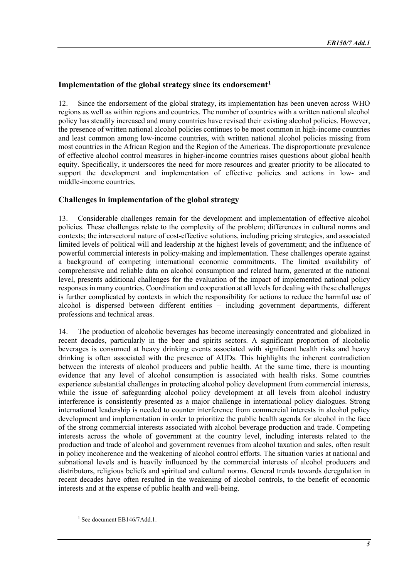# **Implementation of the global strategy since its endorsement[1](#page-4-0)**

12. Since the endorsement of the global strategy, its implementation has been uneven across WHO regions as well as within regions and countries. The number of countries with a written national alcohol policy has steadily increased and many countries have revised their existing alcohol policies. However, the presence of written national alcohol policies continues to be most common in high-income countries and least common among low-income countries, with written national alcohol policies missing from most countries in the African Region and the Region of the Americas. The disproportionate prevalence of effective alcohol control measures in higher-income countries raises questions about global health equity. Specifically, it underscores the need for more resources and greater priority to be allocated to support the development and implementation of effective policies and actions in low- and middle-income countries.

# **Challenges in implementation of the global strategy**

13. Considerable challenges remain for the development and implementation of effective alcohol policies. These challenges relate to the complexity of the problem; differences in cultural norms and contexts; the intersectoral nature of cost-effective solutions, including pricing strategies, and associated limited levels of political will and leadership at the highest levels of government; and the influence of powerful commercial interests in policy-making and implementation. These challenges operate against a background of competing international economic commitments. The limited availability of comprehensive and reliable data on alcohol consumption and related harm, generated at the national level, presents additional challenges for the evaluation of the impact of implemented national policy responses in many countries. Coordination and cooperation at all levels for dealing with these challenges is further complicated by contexts in which the responsibility for actions to reduce the harmful use of alcohol is dispersed between different entities – including government departments, different professions and technical areas.

14. The production of alcoholic beverages has become increasingly concentrated and globalized in recent decades, particularly in the beer and spirits sectors. A significant proportion of alcoholic beverages is consumed at heavy drinking events associated with significant health risks and heavy drinking is often associated with the presence of AUDs. This highlights the inherent contradiction between the interests of alcohol producers and public health. At the same time, there is mounting evidence that any level of alcohol consumption is associated with health risks. Some countries experience substantial challenges in protecting alcohol policy development from commercial interests, while the issue of safeguarding alcohol policy development at all levels from alcohol industry interference is consistently presented as a major challenge in international policy dialogues. Strong international leadership is needed to counter interference from commercial interests in alcohol policy development and implementation in order to prioritize the public health agenda for alcohol in the face of the strong commercial interests associated with alcohol beverage production and trade. Competing interests across the whole of government at the country level, including interests related to the production and trade of alcohol and government revenues from alcohol taxation and sales, often result in policy incoherence and the weakening of alcohol control efforts. The situation varies at national and subnational levels and is heavily influenced by the commercial interests of alcohol producers and distributors, religious beliefs and spiritual and cultural norms. General trends towards deregulation in recent decades have often resulted in the weakening of alcohol controls, to the benefit of economic interests and at the expense of public health and well-being.

<span id="page-4-0"></span><sup>&</sup>lt;sup>1</sup> See document EB146/7Add.1.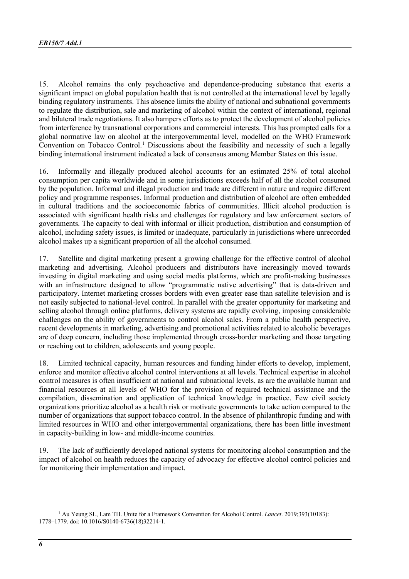15. Alcohol remains the only psychoactive and dependence-producing substance that exerts a significant impact on global population health that is not controlled at the international level by legally binding regulatory instruments. This absence limits the ability of national and subnational governments to regulate the distribution, sale and marketing of alcohol within the context of international, regional and bilateral trade negotiations. It also hampers efforts as to protect the development of alcohol policies from interference by transnational corporations and commercial interests. This has prompted calls for a global normative law on alcohol at the intergovernmental level, modelled on the WHO Framework Convention on Tobacco Control.<sup>[1](#page-5-0)</sup> Discussions about the feasibility and necessity of such a legally binding international instrument indicated a lack of consensus among Member States on this issue.

16. Informally and illegally produced alcohol accounts for an estimated 25% of total alcohol consumption per capita worldwide and in some jurisdictions exceeds half of all the alcohol consumed by the population. Informal and illegal production and trade are different in nature and require different policy and programme responses. Informal production and distribution of alcohol are often embedded in cultural traditions and the socioeconomic fabrics of communities. Illicit alcohol production is associated with significant health risks and challenges for regulatory and law enforcement sectors of governments. The capacity to deal with informal or illicit production, distribution and consumption of alcohol, including safety issues, is limited or inadequate, particularly in jurisdictions where unrecorded alcohol makes up a significant proportion of all the alcohol consumed.

17. Satellite and digital marketing present a growing challenge for the effective control of alcohol marketing and advertising. Alcohol producers and distributors have increasingly moved towards investing in digital marketing and using social media platforms, which are profit-making businesses with an infrastructure designed to allow "programmatic native advertising" that is data-driven and participatory. Internet marketing crosses borders with even greater ease than satellite television and is not easily subjected to national-level control. In parallel with the greater opportunity for marketing and selling alcohol through online platforms, delivery systems are rapidly evolving, imposing considerable challenges on the ability of governments to control alcohol sales. From a public health perspective, recent developments in marketing, advertising and promotional activities related to alcoholic beverages are of deep concern, including those implemented through cross-border marketing and those targeting or reaching out to children, adolescents and young people.

18. Limited technical capacity, human resources and funding hinder efforts to develop, implement, enforce and monitor effective alcohol control interventions at all levels. Technical expertise in alcohol control measures is often insufficient at national and subnational levels, as are the available human and financial resources at all levels of WHO for the provision of required technical assistance and the compilation, dissemination and application of technical knowledge in practice. Few civil society organizations prioritize alcohol as a health risk or motivate governments to take action compared to the number of organizations that support tobacco control. In the absence of philanthropic funding and with limited resources in WHO and other intergovernmental organizations, there has been little investment in capacity-building in low- and middle-income countries.

19. The lack of sufficiently developed national systems for monitoring alcohol consumption and the impact of alcohol on health reduces the capacity of advocacy for effective alcohol control policies and for monitoring their implementation and impact.

<span id="page-5-0"></span><sup>1</sup> Au Yeung SL, Lam TH. Unite for a Framework Convention for Alcohol Control. *Lancet*. 2019;393(10183): 1778–1779. doi: 10.1016/S0140-6736(18)32214-1.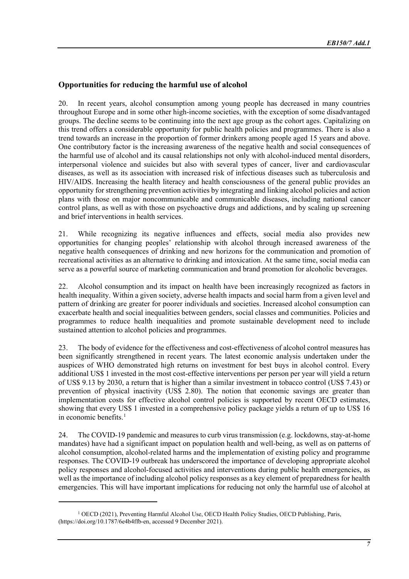# **Opportunities for reducing the harmful use of alcohol**

20. In recent years, alcohol consumption among young people has decreased in many countries throughout Europe and in some other high-income societies, with the exception of some disadvantaged groups. The decline seems to be continuing into the next age group as the cohort ages. Capitalizing on this trend offers a considerable opportunity for public health policies and programmes. There is also a trend towards an increase in the proportion of former drinkers among people aged 15 years and above. One contributory factor is the increasing awareness of the negative health and social consequences of the harmful use of alcohol and its causal relationships not only with alcohol-induced mental disorders, interpersonal violence and suicides but also with several types of cancer, liver and cardiovascular diseases, as well as its association with increased risk of infectious diseases such as tuberculosis and HIV/AIDS. Increasing the health literacy and health consciousness of the general public provides an opportunity for strengthening prevention activities by integrating and linking alcohol policies and action plans with those on major noncommunicable and communicable diseases, including national cancer control plans, as well as with those on psychoactive drugs and addictions, and by scaling up screening and brief interventions in health services.

21. While recognizing its negative influences and effects, social media also provides new opportunities for changing peoples' relationship with alcohol through increased awareness of the negative health consequences of drinking and new horizons for the communication and promotion of recreational activities as an alternative to drinking and intoxication. At the same time, social media can serve as a powerful source of marketing communication and brand promotion for alcoholic beverages.

22. Alcohol consumption and its impact on health have been increasingly recognized as factors in health inequality. Within a given society, adverse health impacts and social harm from a given level and pattern of drinking are greater for poorer individuals and societies. Increased alcohol consumption can exacerbate health and social inequalities between genders, social classes and communities. Policies and programmes to reduce health inequalities and promote sustainable development need to include sustained attention to alcohol policies and programmes.

23. The body of evidence for the effectiveness and cost-effectiveness of alcohol control measures has been significantly strengthened in recent years. The latest economic analysis undertaken under the auspices of WHO demonstrated high returns on investment for best buys in alcohol control. Every additional US\$ 1 invested in the most cost-effective interventions per person per year will yield a return of US\$ 9.13 by 2030, a return that is higher than a similar investment in tobacco control (US\$ 7.43) or prevention of physical inactivity (US\$ 2.80). The notion that economic savings are greater than implementation costs for effective alcohol control policies is supported by recent OECD estimates, showing that every US\$ 1 invested in a comprehensive policy package yields a return of up to US\$ 16 in economic benefits. $<sup>1</sup>$  $<sup>1</sup>$  $<sup>1</sup>$ </sup>

24. The COVID-19 pandemic and measures to curb virus transmission (e.g. lockdowns, stay-at-home mandates) have had a significant impact on population health and well-being, as well as on patterns of alcohol consumption, alcohol-related harms and the implementation of existing policy and programme responses. The COVID-19 outbreak has underscored the importance of developing appropriate alcohol policy responses and alcohol-focused activities and interventions during public health emergencies, as well as the importance of including alcohol policy responses as a key element of preparedness for health emergencies. This will have important implications for reducing not only the harmful use of alcohol at

<span id="page-6-0"></span><sup>&</sup>lt;sup>1</sup> OECD (2021), Preventing Harmful Alcohol Use, OECD Health Policy Studies, OECD Publishing, Paris, [\(https://doi.org/10.1787/6e4b4ffb-en,](https://doi.org/10.1787/6e4b4ffb-en) accessed 9 December 2021).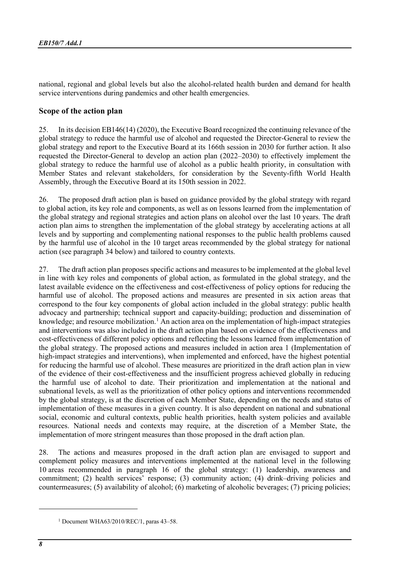national, regional and global levels but also the alcohol-related health burden and demand for health service interventions during pandemics and other health emergencies.

## **Scope of the action plan**

25. In its decision EB146(14) (2020), the Executive Board recognized the continuing relevance of the global strategy to reduce the harmful use of alcohol and requested the Director-General to review the global strategy and report to the Executive Board at its 166th session in 2030 for further action. It also requested the Director-General to develop an action plan (2022–2030) to effectively implement the global strategy to reduce the harmful use of alcohol as a public health priority, in consultation with Member States and relevant stakeholders, for consideration by the Seventy-fifth World Health Assembly, through the Executive Board at its 150th session in 2022.

26. The proposed draft action plan is based on guidance provided by the global strategy with regard to global action, its key role and components, as well as on lessons learned from the implementation of the global strategy and regional strategies and action plans on alcohol over the last 10 years. The draft action plan aims to strengthen the implementation of the global strategy by accelerating actions at all levels and by supporting and complementing national responses to the public health problems caused by the harmful use of alcohol in the 10 target areas recommended by the global strategy for national action (see paragraph 34 below) and tailored to country contexts.

27. The draft action plan proposes specific actions and measures to be implemented at the global level in line with key roles and components of global action, as formulated in the global strategy, and the latest available evidence on the effectiveness and cost-effectiveness of policy options for reducing the harmful use of alcohol. The proposed actions and measures are presented in six action areas that correspond to the four key components of global action included in the global strategy: public health advocacy and partnership; technical support and capacity-building; production and dissemination of knowledge; and resource mobilization.<sup>[1](#page-7-0)</sup> An action area on the implementation of high-impact strategies and interventions was also included in the draft action plan based on evidence of the effectiveness and cost-effectiveness of different policy options and reflecting the lessons learned from implementation of the global strategy. The proposed actions and measures included in action area 1 (Implementation of high-impact strategies and interventions), when implemented and enforced, have the highest potential for reducing the harmful use of alcohol. These measures are prioritized in the draft action plan in view of the evidence of their cost-effectiveness and the insufficient progress achieved globally in reducing the harmful use of alcohol to date. Their prioritization and implementation at the national and subnational levels, as well as the prioritization of other policy options and interventions recommended by the global strategy, is at the discretion of each Member State, depending on the needs and status of implementation of these measures in a given country. It is also dependent on national and subnational social, economic and cultural contexts, public health priorities, health system policies and available resources. National needs and contexts may require, at the discretion of a Member State, the implementation of more stringent measures than those proposed in the draft action plan.

28. The actions and measures proposed in the draft action plan are envisaged to support and complement policy measures and interventions implemented at the national level in the following 10 areas recommended in paragraph 16 of the global strategy: (1) leadership, awareness and commitment; (2) health services' response; (3) community action; (4) drink–driving policies and countermeasures; (5) availability of alcohol; (6) marketing of alcoholic beverages; (7) pricing policies;

<span id="page-7-0"></span><sup>1</sup> Document WHA63/2010/REC/1, paras 43–58.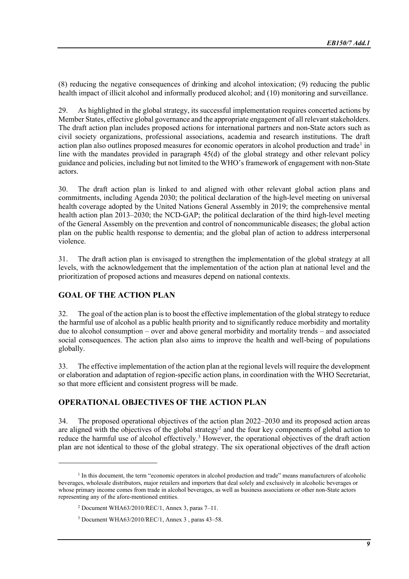(8) reducing the negative consequences of drinking and alcohol intoxication; (9) reducing the public health impact of illicit alcohol and informally produced alcohol; and (10) monitoring and surveillance.

29. As highlighted in the global strategy, its successful implementation requires concerted actions by Member States, effective global governance and the appropriate engagement of all relevant stakeholders. The draft action plan includes proposed actions for international partners and non-State actors such as civil society organizations, professional associations, academia and research institutions. The draft action plan also outlines proposed measures for economic operators in alcohol production and trade<sup>[1](#page-8-0)</sup> in line with the mandates provided in paragraph 45(d) of the global strategy and other relevant policy guidance and policies, including but not limited to the WHO's framework of engagement with non-State actors.

30. The draft action plan is linked to and aligned with other relevant global action plans and commitments, including Agenda 2030; the political declaration of the high-level meeting on universal health coverage adopted by the United Nations General Assembly in 2019; the comprehensive mental health action plan 2013–2030; the NCD-GAP; the political declaration of the third high-level meeting of the General Assembly on the prevention and control of noncommunicable diseases; the global action plan on the public health response to dementia; and the global plan of action to address interpersonal violence.

31. The draft action plan is envisaged to strengthen the implementation of the global strategy at all levels, with the acknowledgement that the implementation of the action plan at national level and the prioritization of proposed actions and measures depend on national contexts.

# **GOAL OF THE ACTION PLAN**

32. The goal of the action plan is to boost the effective implementation of the global strategy to reduce the harmful use of alcohol as a public health priority and to significantly reduce morbidity and mortality due to alcohol consumption – over and above general morbidity and mortality trends – and associated social consequences. The action plan also aims to improve the health and well-being of populations globally.

33. The effective implementation of the action plan at the regional levels will require the development or elaboration and adaptation of region-specific action plans, in coordination with the WHO Secretariat, so that more efficient and consistent progress will be made.

# **OPERATIONAL OBJECTIVES OF THE ACTION PLAN**

34. The proposed operational objectives of the action plan 2022–2030 and its proposed action areas are aligned with the objectives of the global strategy<sup>[2](#page-8-1)</sup> and the four key components of global action to reduce the harmful use of alcohol effectively[.3](#page-8-2) However, the operational objectives of the draft action plan are not identical to those of the global strategy. The six operational objectives of the draft action

<span id="page-8-2"></span><span id="page-8-1"></span><span id="page-8-0"></span> $<sup>1</sup>$  In this document, the term "economic operators in alcohol production and trade" means manufacturers of alcoholic</sup> beverages, wholesale distributors, major retailers and importers that deal solely and exclusively in alcoholic beverages or whose primary income comes from trade in alcohol beverages, as well as business associations or other non-State actors representing any of the afore-mentioned entities.

<sup>2</sup> Document WHA63/2010/REC/1, Annex 3, paras 7–11.

<sup>3</sup> Document WHA63/2010/REC/1, Annex 3 , paras 43–58.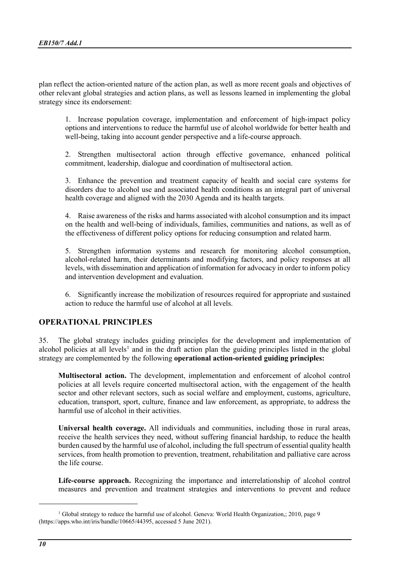plan reflect the action-oriented nature of the action plan, as well as more recent goals and objectives of other relevant global strategies and action plans, as well as lessons learned in implementing the global strategy since its endorsement:

1. Increase population coverage, implementation and enforcement of high-impact policy options and interventions to reduce the harmful use of alcohol worldwide for better health and well-being, taking into account gender perspective and a life-course approach.

2. Strengthen multisectoral action through effective governance, enhanced political commitment, leadership, dialogue and coordination of multisectoral action.

3. Enhance the prevention and treatment capacity of health and social care systems for disorders due to alcohol use and associated health conditions as an integral part of universal health coverage and aligned with the 2030 Agenda and its health targets.

4. Raise awareness of the risks and harms associated with alcohol consumption and its impact on the health and well-being of individuals, families, communities and nations, as well as of the effectiveness of different policy options for reducing consumption and related harm.

5. Strengthen information systems and research for monitoring alcohol consumption, alcohol-related harm, their determinants and modifying factors, and policy responses at all levels, with dissemination and application of information for advocacy in order to inform policy and intervention development and evaluation.

6. Significantly increase the mobilization of resources required for appropriate and sustained action to reduce the harmful use of alcohol at all levels.

## **OPERATIONAL PRINCIPLES**

35. The global strategy includes guiding principles for the development and implementation of alcohol policies at all levels<sup>[1](#page-9-0)</sup> and in the draft action plan the guiding principles listed in the global strategy are complemented by the following **operational action-oriented guiding principles:**

**Multisectoral action.** The development, implementation and enforcement of alcohol control policies at all levels require concerted multisectoral action, with the engagement of the health sector and other relevant sectors, such as social welfare and employment, customs, agriculture, education, transport, sport, culture, finance and law enforcement, as appropriate, to address the harmful use of alcohol in their activities.

**Universal health coverage.** All individuals and communities, including those in rural areas, receive the health services they need, without suffering financial hardship, to reduce the health burden caused by the harmful use of alcohol, including the full spectrum of essential quality health services, from health promotion to prevention, treatment, rehabilitation and palliative care across the life course.

**Life-course approach.** Recognizing the importance and interrelationship of alcohol control measures and prevention and treatment strategies and interventions to prevent and reduce

<span id="page-9-0"></span><sup>&</sup>lt;sup>1</sup> Global strategy to reduce the harmful use of alcohol. Geneva: World Health Organization,; 2010, page 9 [\(https://apps.who.int/iris/handle/10665/44395,](https://apps.who.int/iris/handle/10665/44395) accessed 5 June 2021).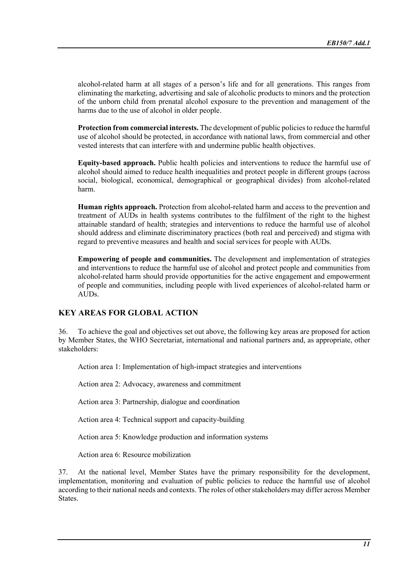alcohol-related harm at all stages of a person's life and for all generations. This ranges from eliminating the marketing, advertising and sale of alcoholic products to minors and the protection of the unborn child from prenatal alcohol exposure to the prevention and management of the harms due to the use of alcohol in older people.

**Protection from commercial interests.** The development of public policies to reduce the harmful use of alcohol should be protected, in accordance with national laws, from commercial and other vested interests that can interfere with and undermine public health objectives.

**Equity-based approach.** Public health policies and interventions to reduce the harmful use of alcohol should aimed to reduce health inequalities and protect people in different groups (across social, biological, economical, demographical or geographical divides) from alcohol-related harm.

**Human rights approach.** Protection from alcohol-related harm and access to the prevention and treatment of AUDs in health systems contributes to the fulfilment of the right to the highest attainable standard of health; strategies and interventions to reduce the harmful use of alcohol should address and eliminate discriminatory practices (both real and perceived) and stigma with regard to preventive measures and health and social services for people with AUDs.

**Empowering of people and communities.** The development and implementation of strategies and interventions to reduce the harmful use of alcohol and protect people and communities from alcohol-related harm should provide opportunities for the active engagement and empowerment of people and communities, including people with lived experiences of alcohol-related harm or AUDs.

# **KEY AREAS FOR GLOBAL ACTION**

36. To achieve the goal and objectives set out above, the following key areas are proposed for action by Member States, the WHO Secretariat, international and national partners and, as appropriate, other stakeholders:

Action area 1: Implementation of high-impact strategies and interventions

Action area 2: Advocacy, awareness and commitment

Action area 3: Partnership, dialogue and coordination

Action area 4: Technical support and capacity-building

Action area 5: Knowledge production and information systems

Action area 6: Resource mobilization

37. At the national level, Member States have the primary responsibility for the development, implementation, monitoring and evaluation of public policies to reduce the harmful use of alcohol according to their national needs and contexts. The roles of other stakeholders may differ across Member States.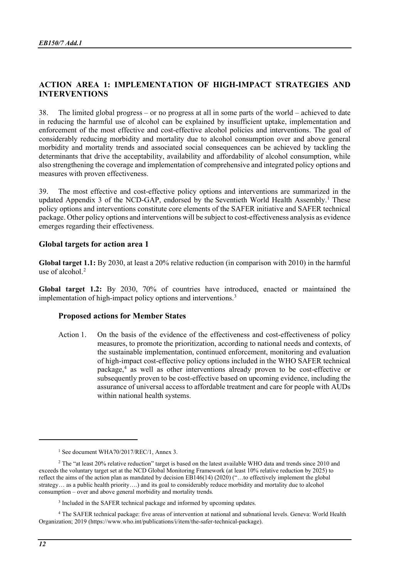## **ACTION AREA 1: IMPLEMENTATION OF HIGH-IMPACT STRATEGIES AND INTERVENTIONS**

38. The limited global progress – or no progress at all in some parts of the world – achieved to date in reducing the harmful use of alcohol can be explained by insufficient uptake, implementation and enforcement of the most effective and cost-effective alcohol policies and interventions. The goal of considerably reducing morbidity and mortality due to alcohol consumption over and above general morbidity and mortality trends and associated social consequences can be achieved by tackling the determinants that drive the acceptability, availability and affordability of alcohol consumption, while also strengthening the coverage and implementation of comprehensive and integrated policy options and measures with proven effectiveness.

39. The most effective and cost-effective policy options and interventions are summarized in the updated Appendix 3 of the NCD-GAP, endorsed by the Seventieth World Health Assembly.<sup>1</sup> These policy options and interventions constitute core elements of the SAFER initiative and SAFER technical package. Other policy options and interventions will be subject to cost-effectiveness analysis as evidence emerges regarding their effectiveness.

#### **Global targets for action area 1**

**Global target 1.1:** By 2030, at least a 20% relative reduction (in comparison with 2010) in the harmful use of alcohol.<sup>[2](#page-11-1)</sup>

**Global target 1.2:** By 2030, 70% of countries have introduced, enacted or maintained the implementation of high-impact policy options and interventions.<sup>[3](#page-11-2)</sup>

#### **Proposed actions for Member States**

Action 1. On the basis of the evidence of the effectiveness and cost-effectiveness of policy measures, to promote the prioritization, according to national needs and contexts, of the sustainable implementation, continued enforcement, monitoring and evaluation of high-impact cost-effective policy options included in the WHO SAFER technical package,[4](#page-11-3) as well as other interventions already proven to be cost-effective or subsequently proven to be cost-effective based on upcoming evidence, including the assurance of universal access to affordable treatment and care for people with AUDs within national health systems.

<span id="page-11-3"></span><span id="page-11-2"></span><sup>4</sup> The SAFER technical package: five areas of intervention at national and subnational levels. Geneva: World Health Organization; 2019 [\(https://www.who.int/publications/i/item/the-safer-technical-package\)](https://www.who.int/publications/i/item/the-safer-technical-package).

<sup>&</sup>lt;sup>1</sup> See document WHA70/2017/REC/1, Annex 3.

<span id="page-11-1"></span><span id="page-11-0"></span><sup>&</sup>lt;sup>2</sup> The "at least 20% relative reduction" target is based on the latest available WHO data and trends since 2010 and exceeds the voluntary target set at the NCD Global Monitoring Framework (at least 10% relative reduction by 2025) to reflect the aims of the action plan as mandated by decision EB146(14) (2020) ("…to effectively implement the global strategy… as a public health priority….) and its goal to considerably reduce morbidity and mortality due to alcohol consumption – over and above general morbidity and mortality trends.

<sup>&</sup>lt;sup>3</sup> Included in the SAFER technical package and informed by upcoming updates.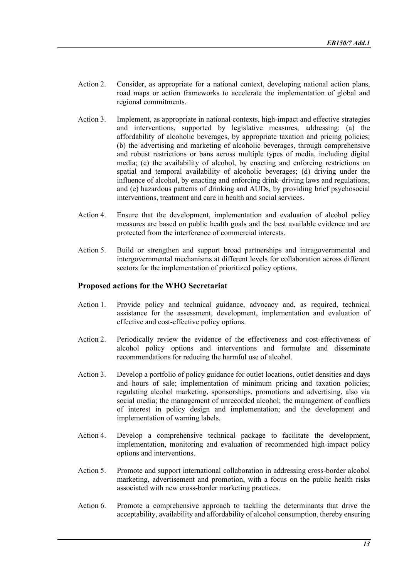- Action 2. Consider, as appropriate for a national context, developing national action plans, road maps or action frameworks to accelerate the implementation of global and regional commitments.
- Action 3. Implement, as appropriate in national contexts, high-impact and effective strategies and interventions, supported by legislative measures, addressing: (a) the affordability of alcoholic beverages, by appropriate taxation and pricing policies; (b) the advertising and marketing of alcoholic beverages, through comprehensive and robust restrictions or bans across multiple types of media, including digital media; (c) the availability of alcohol, by enacting and enforcing restrictions on spatial and temporal availability of alcoholic beverages; (d) driving under the influence of alcohol, by enacting and enforcing drink–driving laws and regulations; and (e) hazardous patterns of drinking and AUDs, by providing brief psychosocial interventions, treatment and care in health and social services.
- Action 4. Ensure that the development, implementation and evaluation of alcohol policy measures are based on public health goals and the best available evidence and are protected from the interference of commercial interests.
- Action 5. Build or strengthen and support broad partnerships and intragovernmental and intergovernmental mechanisms at different levels for collaboration across different sectors for the implementation of prioritized policy options.

#### **Proposed actions for the WHO Secretariat**

- Action 1. Provide policy and technical guidance, advocacy and, as required, technical assistance for the assessment, development, implementation and evaluation of effective and cost-effective policy options.
- Action 2. Periodically review the evidence of the effectiveness and cost-effectiveness of alcohol policy options and interventions and formulate and disseminate recommendations for reducing the harmful use of alcohol.
- Action 3. Develop a portfolio of policy guidance for outlet locations, outlet densities and days and hours of sale; implementation of minimum pricing and taxation policies; regulating alcohol marketing, sponsorships, promotions and advertising, also via social media; the management of unrecorded alcohol; the management of conflicts of interest in policy design and implementation; and the development and implementation of warning labels.
- Action 4. Develop a comprehensive technical package to facilitate the development, implementation, monitoring and evaluation of recommended high-impact policy options and interventions.
- Action 5. Promote and support international collaboration in addressing cross-border alcohol marketing, advertisement and promotion, with a focus on the public health risks associated with new cross-border marketing practices.
- Action 6. Promote a comprehensive approach to tackling the determinants that drive the acceptability, availability and affordability of alcohol consumption, thereby ensuring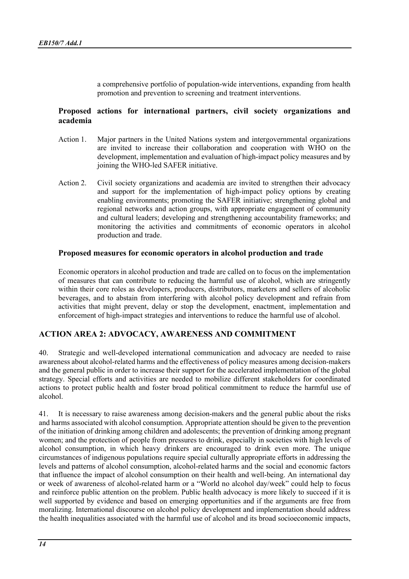a comprehensive portfolio of population-wide interventions, expanding from health promotion and prevention to screening and treatment interventions.

## **Proposed actions for international partners, civil society organizations and academia**

- Action 1. Major partners in the United Nations system and intergovernmental organizations are invited to increase their collaboration and cooperation with WHO on the development, implementation and evaluation of high-impact policy measures and by joining the WHO-led SAFER initiative.
- Action 2. Civil society organizations and academia are invited to strengthen their advocacy and support for the implementation of high-impact policy options by creating enabling environments; promoting the SAFER initiative; strengthening global and regional networks and action groups, with appropriate engagement of community and cultural leaders; developing and strengthening accountability frameworks; and monitoring the activities and commitments of economic operators in alcohol production and trade.

#### **Proposed measures for economic operators in alcohol production and trade**

Economic operators in alcohol production and trade are called on to focus on the implementation of measures that can contribute to reducing the harmful use of alcohol, which are stringently within their core roles as developers, producers, distributors, marketers and sellers of alcoholic beverages, and to abstain from interfering with alcohol policy development and refrain from activities that might prevent, delay or stop the development, enactment, implementation and enforcement of high-impact strategies and interventions to reduce the harmful use of alcohol.

# **ACTION AREA 2: ADVOCACY, AWARENESS AND COMMITMENT**

40. Strategic and well-developed international communication and advocacy are needed to raise awareness about alcohol-related harms and the effectiveness of policy measures among decision-makers and the general public in order to increase their support for the accelerated implementation of the global strategy. Special efforts and activities are needed to mobilize different stakeholders for coordinated actions to protect public health and foster broad political commitment to reduce the harmful use of alcohol.

41. It is necessary to raise awareness among decision-makers and the general public about the risks and harms associated with alcohol consumption. Appropriate attention should be given to the prevention of the initiation of drinking among children and adolescents; the prevention of drinking among pregnant women; and the protection of people from pressures to drink, especially in societies with high levels of alcohol consumption, in which heavy drinkers are encouraged to drink even more. The unique circumstances of indigenous populations require special culturally appropriate efforts in addressing the levels and patterns of alcohol consumption, alcohol-related harms and the social and economic factors that influence the impact of alcohol consumption on their health and well-being. An international day or week of awareness of alcohol-related harm or a "World no alcohol day/week" could help to focus and reinforce public attention on the problem. Public health advocacy is more likely to succeed if it is well supported by evidence and based on emerging opportunities and if the arguments are free from moralizing. International discourse on alcohol policy development and implementation should address the health inequalities associated with the harmful use of alcohol and its broad socioeconomic impacts,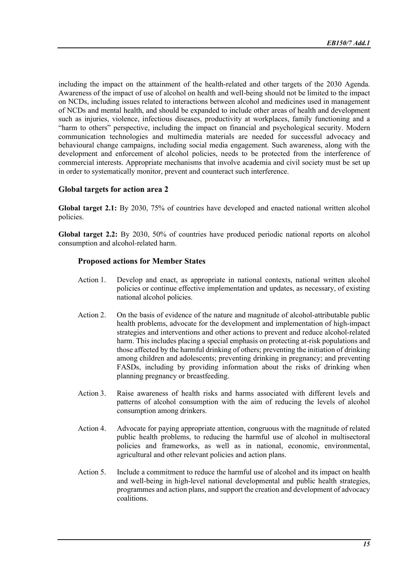including the impact on the attainment of the health-related and other targets of the 2030 Agenda. Awareness of the impact of use of alcohol on health and well-being should not be limited to the impact on NCDs, including issues related to interactions between alcohol and medicines used in management of NCDs and mental health, and should be expanded to include other areas of health and development such as injuries, violence, infectious diseases, productivity at workplaces, family functioning and a "harm to others" perspective, including the impact on financial and psychological security. Modern communication technologies and multimedia materials are needed for successful advocacy and behavioural change campaigns, including social media engagement. Such awareness, along with the development and enforcement of alcohol policies, needs to be protected from the interference of commercial interests. Appropriate mechanisms that involve academia and civil society must be set up in order to systematically monitor, prevent and counteract such interference.

# **Global targets for action area 2**

**Global target 2.1:** By 2030, 75% of countries have developed and enacted national written alcohol policies.

**Global target 2.2:** By 2030, 50% of countries have produced periodic national reports on alcohol consumption and alcohol-related harm.

## **Proposed actions for Member States**

- Action 1. Develop and enact, as appropriate in national contexts, national written alcohol policies or continue effective implementation and updates, as necessary, of existing national alcohol policies.
- Action 2. On the basis of evidence of the nature and magnitude of alcohol-attributable public health problems, advocate for the development and implementation of high-impact strategies and interventions and other actions to prevent and reduce alcohol-related harm. This includes placing a special emphasis on protecting at-risk populations and those affected by the harmful drinking of others; preventing the initiation of drinking among children and adolescents; preventing drinking in pregnancy; and preventing FASDs, including by providing information about the risks of drinking when planning pregnancy or breastfeeding.
- Action 3. Raise awareness of health risks and harms associated with different levels and patterns of alcohol consumption with the aim of reducing the levels of alcohol consumption among drinkers.
- Action 4. Advocate for paying appropriate attention, congruous with the magnitude of related public health problems, to reducing the harmful use of alcohol in multisectoral policies and frameworks, as well as in national, economic, environmental, agricultural and other relevant policies and action plans.
- Action 5. Include a commitment to reduce the harmful use of alcohol and its impact on health and well-being in high-level national developmental and public health strategies, programmes and action plans, and support the creation and development of advocacy coalitions.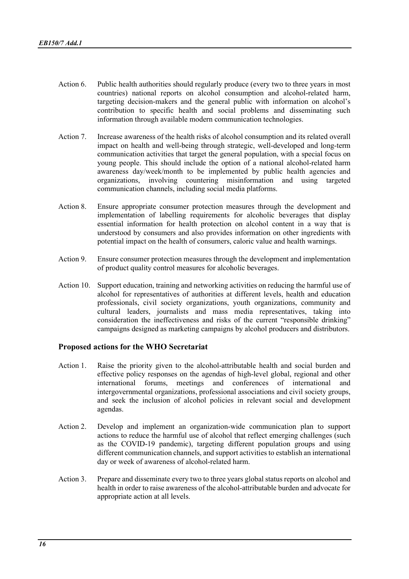- Action 6. Public health authorities should regularly produce (every two to three years in most countries) national reports on alcohol consumption and alcohol-related harm, targeting decision-makers and the general public with information on alcohol's contribution to specific health and social problems and disseminating such information through available modern communication technologies.
- Action 7. Increase awareness of the health risks of alcohol consumption and its related overall impact on health and well-being through strategic, well-developed and long-term communication activities that target the general population, with a special focus on young people. This should include the option of a national alcohol-related harm awareness day/week/month to be implemented by public health agencies and organizations, involving countering misinformation and using targeted communication channels, including social media platforms.
- Action 8. Ensure appropriate consumer protection measures through the development and implementation of labelling requirements for alcoholic beverages that display essential information for health protection on alcohol content in a way that is understood by consumers and also provides information on other ingredients with potential impact on the health of consumers, caloric value and health warnings.
- Action 9. Ensure consumer protection measures through the development and implementation of product quality control measures for alcoholic beverages.
- Action 10. Support education, training and networking activities on reducing the harmful use of alcohol for representatives of authorities at different levels, health and education professionals, civil society organizations, youth organizations, community and cultural leaders, journalists and mass media representatives, taking into consideration the ineffectiveness and risks of the current "responsible drinking" campaigns designed as marketing campaigns by alcohol producers and distributors.

## **Proposed actions for the WHO Secretariat**

- Action 1. Raise the priority given to the alcohol-attributable health and social burden and effective policy responses on the agendas of high-level global, regional and other international forums, meetings and conferences of international and intergovernmental organizations, professional associations and civil society groups, and seek the inclusion of alcohol policies in relevant social and development agendas.
- Action 2. Develop and implement an organization-wide communication plan to support actions to reduce the harmful use of alcohol that reflect emerging challenges (such as the COVID-19 pandemic), targeting different population groups and using different communication channels, and support activities to establish an international day or week of awareness of alcohol-related harm.
- Action 3. Prepare and disseminate every two to three years global status reports on alcohol and health in order to raise awareness of the alcohol-attributable burden and advocate for appropriate action at all levels.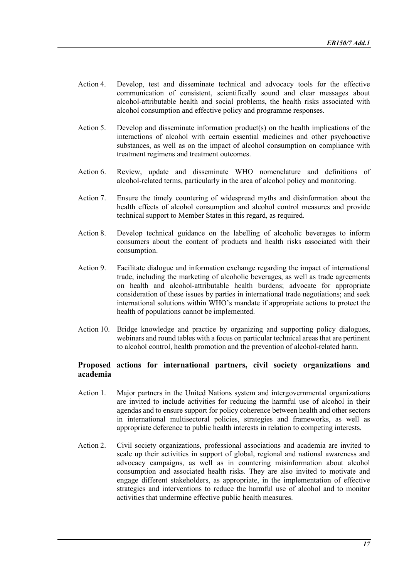- Action 4. Develop, test and disseminate technical and advocacy tools for the effective communication of consistent, scientifically sound and clear messages about alcohol-attributable health and social problems, the health risks associated with alcohol consumption and effective policy and programme responses.
- Action 5. Develop and disseminate information product(s) on the health implications of the interactions of alcohol with certain essential medicines and other psychoactive substances, as well as on the impact of alcohol consumption on compliance with treatment regimens and treatment outcomes.
- Action 6. Review, update and disseminate WHO nomenclature and definitions of alcohol-related terms, particularly in the area of alcohol policy and monitoring.
- Action 7. Ensure the timely countering of widespread myths and disinformation about the health effects of alcohol consumption and alcohol control measures and provide technical support to Member States in this regard, as required.
- Action 8. Develop technical guidance on the labelling of alcoholic beverages to inform consumers about the content of products and health risks associated with their consumption.
- Action 9. Facilitate dialogue and information exchange regarding the impact of international trade, including the marketing of alcoholic beverages, as well as trade agreements on health and alcohol-attributable health burdens; advocate for appropriate consideration of these issues by parties in international trade negotiations; and seek international solutions within WHO's mandate if appropriate actions to protect the health of populations cannot be implemented.
- Action 10. Bridge knowledge and practice by organizing and supporting policy dialogues, webinars and round tables with a focus on particular technical areas that are pertinent to alcohol control, health promotion and the prevention of alcohol-related harm.

#### **Proposed actions for international partners, civil society organizations and academia**

- Action 1. Major partners in the United Nations system and intergovernmental organizations are invited to include activities for reducing the harmful use of alcohol in their agendas and to ensure support for policy coherence between health and other sectors in international multisectoral policies, strategies and frameworks, as well as appropriate deference to public health interests in relation to competing interests.
- Action 2. Civil society organizations, professional associations and academia are invited to scale up their activities in support of global, regional and national awareness and advocacy campaigns, as well as in countering misinformation about alcohol consumption and associated health risks. They are also invited to motivate and engage different stakeholders, as appropriate, in the implementation of effective strategies and interventions to reduce the harmful use of alcohol and to monitor activities that undermine effective public health measures.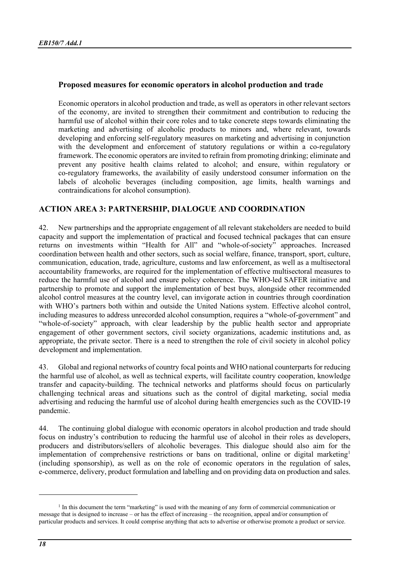## **Proposed measures for economic operators in alcohol production and trade**

Economic operators in alcohol production and trade, as well as operators in other relevant sectors of the economy, are invited to strengthen their commitment and contribution to reducing the harmful use of alcohol within their core roles and to take concrete steps towards eliminating the marketing and advertising of alcoholic products to minors and, where relevant, towards developing and enforcing self-regulatory measures on marketing and advertising in conjunction with the development and enforcement of statutory regulations or within a co-regulatory framework. The economic operators are invited to refrain from promoting drinking; eliminate and prevent any positive health claims related to alcohol; and ensure, within regulatory or co-regulatory frameworks, the availability of easily understood consumer information on the labels of alcoholic beverages (including composition, age limits, health warnings and contraindications for alcohol consumption).

## **ACTION AREA 3: PARTNERSHIP, DIALOGUE AND COORDINATION**

42. New partnerships and the appropriate engagement of all relevant stakeholders are needed to build capacity and support the implementation of practical and focused technical packages that can ensure returns on investments within "Health for All" and "whole-of-society" approaches. Increased coordination between health and other sectors, such as social welfare, finance, transport, sport, culture, communication, education, trade, agriculture, customs and law enforcement, as well as a multisectoral accountability frameworks, are required for the implementation of effective multisectoral measures to reduce the harmful use of alcohol and ensure policy coherence. The WHO-led SAFER initiative and partnership to promote and support the implementation of best buys, alongside other recommended alcohol control measures at the country level, can invigorate action in countries through coordination with WHO's partners both within and outside the United Nations system. Effective alcohol control, including measures to address unrecorded alcohol consumption, requires a "whole-of-government" and "whole-of-society" approach, with clear leadership by the public health sector and appropriate engagement of other government sectors, civil society organizations, academic institutions and, as appropriate, the private sector. There is a need to strengthen the role of civil society in alcohol policy development and implementation.

43. Global and regional networks of country focal points and WHO national counterparts for reducing the harmful use of alcohol, as well as technical experts, will facilitate country cooperation, knowledge transfer and capacity-building. The technical networks and platforms should focus on particularly challenging technical areas and situations such as the control of digital marketing, social media advertising and reducing the harmful use of alcohol during health emergencies such as the COVID-19 pandemic.

44. The continuing global dialogue with economic operators in alcohol production and trade should focus on industry's contribution to reducing the harmful use of alcohol in their roles as developers, producers and distributors/sellers of alcoholic beverages. This dialogue should also aim for the implementation of comprehensive restrictions or bans on traditional, online or digital marketing<sup>[1](#page-17-0)</sup> (including sponsorship), as well as on the role of economic operators in the regulation of sales, e-commerce, delivery, product formulation and labelling and on providing data on production and sales.

<span id="page-17-0"></span> $<sup>1</sup>$  In this document the term "marketing" is used with the meaning of any form of commercial communication or</sup> message that is designed to increase – or has the effect of increasing – the recognition, appeal and/or consumption of particular products and services. It could comprise anything that acts to advertise or otherwise promote a product or service.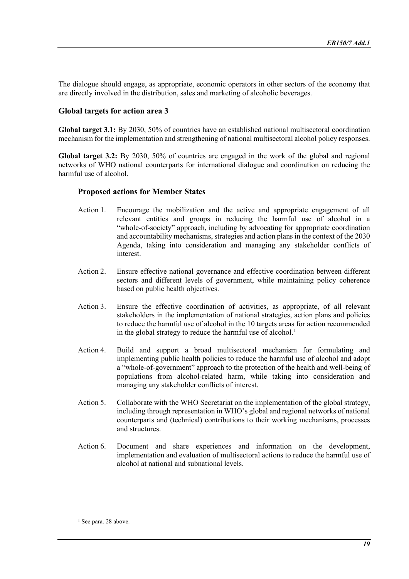The dialogue should engage, as appropriate, economic operators in other sectors of the economy that are directly involved in the distribution, sales and marketing of alcoholic beverages.

#### **Global targets for action area 3**

**Global target 3.1:** By 2030, 50% of countries have an established national multisectoral coordination mechanism for the implementation and strengthening of national multisectoral alcohol policy responses.

**Global target 3.2:** By 2030, 50% of countries are engaged in the work of the global and regional networks of WHO national counterparts for international dialogue and coordination on reducing the harmful use of alcohol.

#### **Proposed actions for Member States**

- Action 1. Encourage the mobilization and the active and appropriate engagement of all relevant entities and groups in reducing the harmful use of alcohol in a "whole-of-society" approach, including by advocating for appropriate coordination and accountability mechanisms, strategies and action plans in the context of the 2030 Agenda, taking into consideration and managing any stakeholder conflicts of interest.
- Action 2. Ensure effective national governance and effective coordination between different sectors and different levels of government, while maintaining policy coherence based on public health objectives.
- Action 3. Ensure the effective coordination of activities, as appropriate, of all relevant stakeholders in the implementation of national strategies, action plans and policies to reduce the harmful use of alcohol in the 10 targets areas for action recommended in the global strategy to reduce the harmful use of alcohol.<sup>[1](#page-18-0)</sup>
- Action 4. Build and support a broad multisectoral mechanism for formulating and implementing public health policies to reduce the harmful use of alcohol and adopt a "whole-of-government" approach to the protection of the health and well-being of populations from alcohol-related harm, while taking into consideration and managing any stakeholder conflicts of interest.
- Action 5. Collaborate with the WHO Secretariat on the implementation of the global strategy, including through representation in WHO's global and regional networks of national counterparts and (technical) contributions to their working mechanisms, processes and structures.
- Action 6. Document and share experiences and information on the development, implementation and evaluation of multisectoral actions to reduce the harmful use of alcohol at national and subnational levels.

<span id="page-18-0"></span><sup>&</sup>lt;sup>1</sup> See para. 28 above.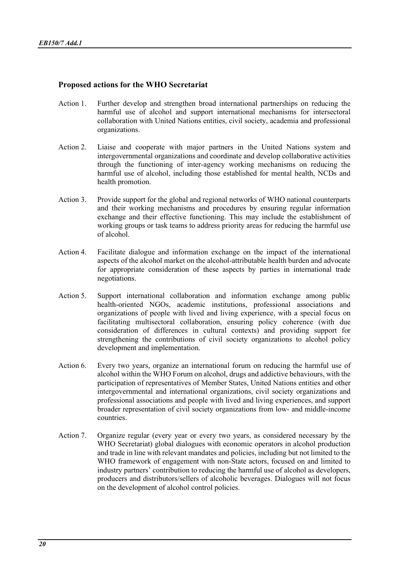#### **Proposed actions for the WHO Secretariat**

- Action 1. Further develop and strengthen broad international partnerships on reducing the harmful use of alcohol and support international mechanisms for intersectoral collaboration with United Nations entities, civil society, academia and professional organizations.
- Action 2. Liaise and cooperate with major partners in the United Nations system and intergovernmental organizations and coordinate and develop collaborative activities through the functioning of inter-agency working mechanisms on reducing the harmful use of alcohol, including those established for mental health, NCDs and health promotion.
- Action 3. Provide support for the global and regional networks of WHO national counterparts and their working mechanisms and procedures by ensuring regular information exchange and their effective functioning. This may include the establishment of working groups or task teams to address priority areas for reducing the harmful use of alcohol.
- Action 4. Facilitate dialogue and information exchange on the impact of the international aspects of the alcohol market on the alcohol-attributable health burden and advocate for appropriate consideration of these aspects by parties in international trade negotiations.
- Action 5. Support international collaboration and information exchange among public health-oriented NGOs, academic institutions, professional associations and organizations of people with lived and living experience, with a special focus on facilitating multisectoral collaboration, ensuring policy coherence (with due consideration of differences in cultural contexts) and providing support for strengthening the contributions of civil society organizations to alcohol policy development and implementation.
- Action 6. Every two years, organize an international forum on reducing the harmful use of alcohol within the WHO Forum on alcohol, drugs and addictive behaviours, with the participation of representatives of Member States, United Nations entities and other intergovernmental and international organizations, civil society organizations and professional associations and people with lived and living experiences, and support broader representation of civil society organizations from low- and middle-income countries.
- Action 7. Organize regular (every year or every two years, as considered necessary by the WHO Secretariat) global dialogues with economic operators in alcohol production and trade in line with relevant mandates and policies, including but not limited to the WHO framework of engagement with non-State actors, focused on and limited to industry partners' contribution to reducing the harmful use of alcohol as developers, producers and distributors/sellers of alcoholic beverages. Dialogues will not focus on the development of alcohol control policies.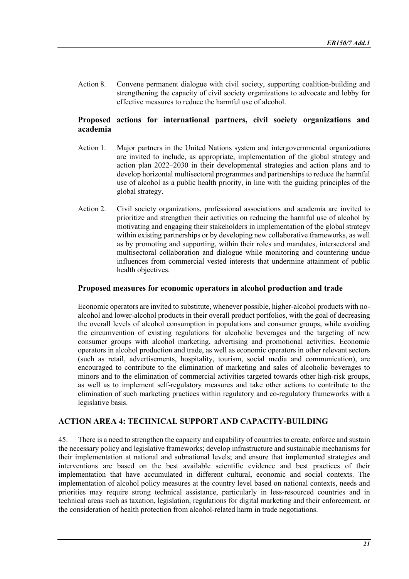Action 8. Convene permanent dialogue with civil society, supporting coalition-building and strengthening the capacity of civil society organizations to advocate and lobby for effective measures to reduce the harmful use of alcohol.

## **Proposed actions for international partners, civil society organizations and academia**

- Action 1. Major partners in the United Nations system and intergovernmental organizations are invited to include, as appropriate, implementation of the global strategy and action plan 2022–2030 in their developmental strategies and action plans and to develop horizontal multisectoral programmes and partnerships to reduce the harmful use of alcohol as a public health priority, in line with the guiding principles of the global strategy.
- Action 2. Civil society organizations, professional associations and academia are invited to prioritize and strengthen their activities on reducing the harmful use of alcohol by motivating and engaging their stakeholders in implementation of the global strategy within existing partnerships or by developing new collaborative frameworks, as well as by promoting and supporting, within their roles and mandates, intersectoral and multisectoral collaboration and dialogue while monitoring and countering undue influences from commercial vested interests that undermine attainment of public health objectives.

#### **Proposed measures for economic operators in alcohol production and trade**

Economic operators are invited to substitute, whenever possible, higher-alcohol products with noalcohol and lower-alcohol products in their overall product portfolios, with the goal of decreasing the overall levels of alcohol consumption in populations and consumer groups, while avoiding the circumvention of existing regulations for alcoholic beverages and the targeting of new consumer groups with alcohol marketing, advertising and promotional activities. Economic operators in alcohol production and trade, as well as economic operators in other relevant sectors (such as retail, advertisements, hospitality, tourism, social media and communication), are encouraged to contribute to the elimination of marketing and sales of alcoholic beverages to minors and to the elimination of commercial activities targeted towards other high-risk groups, as well as to implement self-regulatory measures and take other actions to contribute to the elimination of such marketing practices within regulatory and co-regulatory frameworks with a legislative basis.

## **ACTION AREA 4: TECHNICAL SUPPORT AND CAPACITY-BUILDING**

45. There is a need to strengthen the capacity and capability of countries to create, enforce and sustain the necessary policy and legislative frameworks; develop infrastructure and sustainable mechanisms for their implementation at national and subnational levels; and ensure that implemented strategies and interventions are based on the best available scientific evidence and best practices of their implementation that have accumulated in different cultural, economic and social contexts. The implementation of alcohol policy measures at the country level based on national contexts, needs and priorities may require strong technical assistance, particularly in less-resourced countries and in technical areas such as taxation, legislation, regulations for digital marketing and their enforcement, or the consideration of health protection from alcohol-related harm in trade negotiations.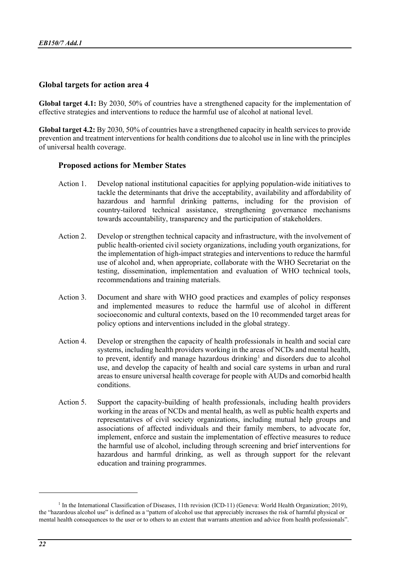#### **Global targets for action area 4**

**Global target 4.1:** By 2030, 50% of countries have a strengthened capacity for the implementation of effective strategies and interventions to reduce the harmful use of alcohol at national level.

**Global target 4.2:** By 2030, 50% of countries have a strengthened capacity in health services to provide prevention and treatment interventions for health conditions due to alcohol use in line with the principles of universal health coverage.

#### **Proposed actions for Member States**

- Action 1. Develop national institutional capacities for applying population-wide initiatives to tackle the determinants that drive the acceptability, availability and affordability of hazardous and harmful drinking patterns, including for the provision of country-tailored technical assistance, strengthening governance mechanisms towards accountability, transparency and the participation of stakeholders.
- Action 2. Develop or strengthen technical capacity and infrastructure, with the involvement of public health-oriented civil society organizations, including youth organizations, for the implementation of high-impact strategies and interventions to reduce the harmful use of alcohol and, when appropriate, collaborate with the WHO Secretariat on the testing, dissemination, implementation and evaluation of WHO technical tools, recommendations and training materials.
- Action 3. Document and share with WHO good practices and examples of policy responses and implemented measures to reduce the harmful use of alcohol in different socioeconomic and cultural contexts, based on the 10 recommended target areas for policy options and interventions included in the global strategy.
- Action 4. Develop or strengthen the capacity of health professionals in health and social care systems, including health providers working in the areas of NCDs and mental health, to prevent, identify and manage hazardous drinking<sup>[1](#page-21-0)</sup> and disorders due to alcohol use, and develop the capacity of health and social care systems in urban and rural areas to ensure universal health coverage for people with AUDs and comorbid health conditions.
- Action 5. Support the capacity-building of health professionals, including health providers working in the areas of NCDs and mental health, as well as public health experts and representatives of civil society organizations, including mutual help groups and associations of affected individuals and their family members, to advocate for, implement, enforce and sustain the implementation of effective measures to reduce the harmful use of alcohol, including through screening and brief interventions for hazardous and harmful drinking, as well as through support for the relevant education and training programmes.

<span id="page-21-0"></span> $<sup>1</sup>$  In the International Classification of Diseases, 11th revision (ICD-11) (Geneva: World Health Organization; 2019),</sup> the "hazardous alcohol use" is defined as a "pattern of alcohol use that appreciably increases the risk of harmful physical or mental health consequences to the user or to others to an extent that warrants attention and advice from health professionals".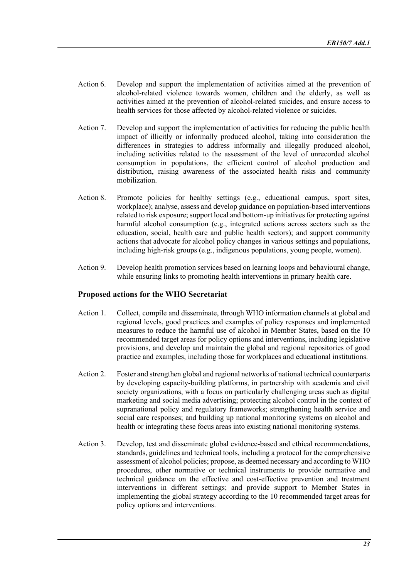- Action 6. Develop and support the implementation of activities aimed at the prevention of alcohol-related violence towards women, children and the elderly, as well as activities aimed at the prevention of alcohol-related suicides, and ensure access to health services for those affected by alcohol-related violence or suicides.
- Action 7. Develop and support the implementation of activities for reducing the public health impact of illicitly or informally produced alcohol, taking into consideration the differences in strategies to address informally and illegally produced alcohol, including activities related to the assessment of the level of unrecorded alcohol consumption in populations, the efficient control of alcohol production and distribution, raising awareness of the associated health risks and community mobilization.
- Action 8. Promote policies for healthy settings (e.g., educational campus, sport sites, workplace); analyse, assess and develop guidance on population-based interventions related to risk exposure; support local and bottom-up initiatives for protecting against harmful alcohol consumption (e.g., integrated actions across sectors such as the education, social, health care and public health sectors); and support community actions that advocate for alcohol policy changes in various settings and populations, including high-risk groups (e.g., indigenous populations, young people, women).
- Action 9. Develop health promotion services based on learning loops and behavioural change, while ensuring links to promoting health interventions in primary health care.

## **Proposed actions for the WHO Secretariat**

- Action 1. Collect, compile and disseminate, through WHO information channels at global and regional levels, good practices and examples of policy responses and implemented measures to reduce the harmful use of alcohol in Member States, based on the 10 recommended target areas for policy options and interventions, including legislative provisions, and develop and maintain the global and regional repositories of good practice and examples, including those for workplaces and educational institutions.
- Action 2. Foster and strengthen global and regional networks of national technical counterparts by developing capacity-building platforms, in partnership with academia and civil society organizations, with a focus on particularly challenging areas such as digital marketing and social media advertising; protecting alcohol control in the context of supranational policy and regulatory frameworks; strengthening health service and social care responses; and building up national monitoring systems on alcohol and health or integrating these focus areas into existing national monitoring systems.
- Action 3. Develop, test and disseminate global evidence-based and ethical recommendations, standards, guidelines and technical tools, including a protocol for the comprehensive assessment of alcohol policies; propose, as deemed necessary and according to WHO procedures, other normative or technical instruments to provide normative and technical guidance on the effective and cost-effective prevention and treatment interventions in different settings; and provide support to Member States in implementing the global strategy according to the 10 recommended target areas for policy options and interventions.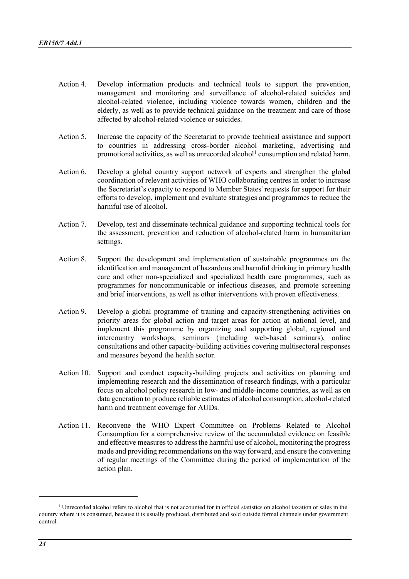- Action 4. Develop information products and technical tools to support the prevention, management and monitoring and surveillance of alcohol-related suicides and alcohol-related violence, including violence towards women, children and the elderly, as well as to provide technical guidance on the treatment and care of those affected by alcohol-related violence or suicides.
- Action 5. Increase the capacity of the Secretariat to provide technical assistance and support to countries in addressing cross-border alcohol marketing, advertising and promotional activities, as well as unrecorded alcohol<sup>[1](#page-23-0)</sup> consumption and related harm.
- Action 6. Develop a global country support network of experts and strengthen the global coordination of relevant activities of WHO collaborating centres in order to increase the Secretariat's capacity to respond to Member States' requests for support for their efforts to develop, implement and evaluate strategies and programmes to reduce the harmful use of alcohol.
- Action 7. Develop, test and disseminate technical guidance and supporting technical tools for the assessment, prevention and reduction of alcohol-related harm in humanitarian settings.
- Action 8. Support the development and implementation of sustainable programmes on the identification and management of hazardous and harmful drinking in primary health care and other non-specialized and specialized health care programmes, such as programmes for noncommunicable or infectious diseases, and promote screening and brief interventions, as well as other interventions with proven effectiveness.
- Action 9. Develop a global programme of training and capacity-strengthening activities on priority areas for global action and target areas for action at national level, and implement this programme by organizing and supporting global, regional and intercountry workshops, seminars (including web-based seminars), online consultations and other capacity-building activities covering multisectoral responses and measures beyond the health sector.
- Action 10. Support and conduct capacity-building projects and activities on planning and implementing research and the dissemination of research findings, with a particular focus on alcohol policy research in low- and middle-income countries, as well as on data generation to produce reliable estimates of alcohol consumption, alcohol-related harm and treatment coverage for AUDs.
- Action 11. Reconvene the WHO Expert Committee on Problems Related to Alcohol Consumption for a comprehensive review of the accumulated evidence on feasible and effective measures to address the harmful use of alcohol, monitoring the progress made and providing recommendations on the way forward, and ensure the convening of regular meetings of the Committee during the period of implementation of the action plan.

<span id="page-23-0"></span><sup>&</sup>lt;sup>1</sup> Unrecorded alcohol refers to alcohol that is not accounted for in official statistics on alcohol taxation or sales in the country where it is consumed, because it is usually produced, distributed and sold outside formal channels under government control.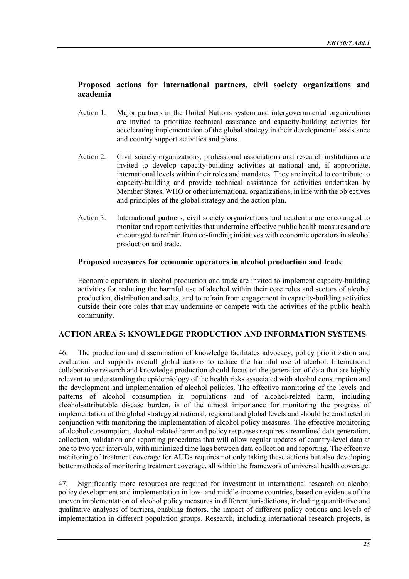# **Proposed actions for international partners, civil society organizations and academia**

- Action 1. Major partners in the United Nations system and intergovernmental organizations are invited to prioritize technical assistance and capacity-building activities for accelerating implementation of the global strategy in their developmental assistance and country support activities and plans.
- Action 2. Civil society organizations, professional associations and research institutions are invited to develop capacity-building activities at national and, if appropriate, international levels within their roles and mandates. They are invited to contribute to capacity-building and provide technical assistance for activities undertaken by Member States, WHO or other international organizations, in line with the objectives and principles of the global strategy and the action plan.
- Action 3. International partners, civil society organizations and academia are encouraged to monitor and report activities that undermine effective public health measures and are encouraged to refrain from co-funding initiatives with economic operators in alcohol production and trade.

## **Proposed measures for economic operators in alcohol production and trade**

Economic operators in alcohol production and trade are invited to implement capacity-building activities for reducing the harmful use of alcohol within their core roles and sectors of alcohol production, distribution and sales, and to refrain from engagement in capacity-building activities outside their core roles that may undermine or compete with the activities of the public health community.

# **ACTION AREA 5: KNOWLEDGE PRODUCTION AND INFORMATION SYSTEMS**

46. The production and dissemination of knowledge facilitates advocacy, policy prioritization and evaluation and supports overall global actions to reduce the harmful use of alcohol. International collaborative research and knowledge production should focus on the generation of data that are highly relevant to understanding the epidemiology of the health risks associated with alcohol consumption and the development and implementation of alcohol policies. The effective monitoring of the levels and patterns of alcohol consumption in populations and of alcohol-related harm, including alcohol-attributable disease burden, is of the utmost importance for monitoring the progress of implementation of the global strategy at national, regional and global levels and should be conducted in conjunction with monitoring the implementation of alcohol policy measures. The effective monitoring of alcohol consumption, alcohol-related harm and policy responses requires streamlined data generation, collection, validation and reporting procedures that will allow regular updates of country-level data at one to two year intervals, with minimized time lags between data collection and reporting. The effective monitoring of treatment coverage for AUDs requires not only taking these actions but also developing better methods of monitoring treatment coverage, all within the framework of universal health coverage.

47. Significantly more resources are required for investment in international research on alcohol policy development and implementation in low- and middle-income countries, based on evidence of the uneven implementation of alcohol policy measures in different jurisdictions, including quantitative and qualitative analyses of barriers, enabling factors, the impact of different policy options and levels of implementation in different population groups. Research, including international research projects, is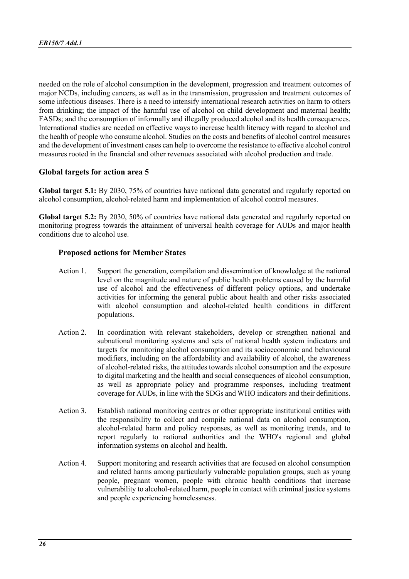needed on the role of alcohol consumption in the development, progression and treatment outcomes of major NCDs, including cancers, as well as in the transmission, progression and treatment outcomes of some infectious diseases. There is a need to intensify international research activities on harm to others from drinking; the impact of the harmful use of alcohol on child development and maternal health; FASDs; and the consumption of informally and illegally produced alcohol and its health consequences. International studies are needed on effective ways to increase health literacy with regard to alcohol and the health of people who consume alcohol. Studies on the costs and benefits of alcohol control measures and the development of investment cases can help to overcome the resistance to effective alcohol control measures rooted in the financial and other revenues associated with alcohol production and trade.

## **Global targets for action area 5**

**Global target 5.1:** By 2030, 75% of countries have national data generated and regularly reported on alcohol consumption, alcohol-related harm and implementation of alcohol control measures.

**Global target 5.2:** By 2030, 50% of countries have national data generated and regularly reported on monitoring progress towards the attainment of universal health coverage for AUDs and major health conditions due to alcohol use.

# **Proposed actions for Member States**

- Action 1. Support the generation, compilation and dissemination of knowledge at the national level on the magnitude and nature of public health problems caused by the harmful use of alcohol and the effectiveness of different policy options, and undertake activities for informing the general public about health and other risks associated with alcohol consumption and alcohol-related health conditions in different populations.
- Action 2. In coordination with relevant stakeholders, develop or strengthen national and subnational monitoring systems and sets of national health system indicators and targets for monitoring alcohol consumption and its socioeconomic and behavioural modifiers, including on the affordability and availability of alcohol, the awareness of alcohol-related risks, the attitudes towards alcohol consumption and the exposure to digital marketing and the health and social consequences of alcohol consumption, as well as appropriate policy and programme responses, including treatment coverage for AUDs, in line with the SDGs and WHO indicators and their definitions.
- Action 3. Establish national monitoring centres or other appropriate institutional entities with the responsibility to collect and compile national data on alcohol consumption, alcohol-related harm and policy responses, as well as monitoring trends, and to report regularly to national authorities and the WHO's regional and global information systems on alcohol and health.
- Action 4. Support monitoring and research activities that are focused on alcohol consumption and related harms among particularly vulnerable population groups, such as young people, pregnant women, people with chronic health conditions that increase vulnerability to alcohol-related harm, people in contact with criminal justice systems and people experiencing homelessness.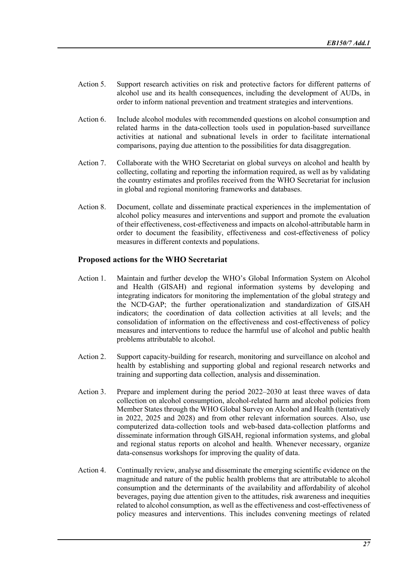- Action 5. Support research activities on risk and protective factors for different patterns of alcohol use and its health consequences, including the development of AUDs, in order to inform national prevention and treatment strategies and interventions.
- Action 6. Include alcohol modules with recommended questions on alcohol consumption and related harms in the data-collection tools used in population-based surveillance activities at national and subnational levels in order to facilitate international comparisons, paying due attention to the possibilities for data disaggregation.
- Action 7. Collaborate with the WHO Secretariat on global surveys on alcohol and health by collecting, collating and reporting the information required, as well as by validating the country estimates and profiles received from the WHO Secretariat for inclusion in global and regional monitoring frameworks and databases.
- Action 8. Document, collate and disseminate practical experiences in the implementation of alcohol policy measures and interventions and support and promote the evaluation of their effectiveness, cost-effectiveness and impacts on alcohol-attributable harm in order to document the feasibility, effectiveness and cost-effectiveness of policy measures in different contexts and populations.

#### **Proposed actions for the WHO Secretariat**

- Action 1. Maintain and further develop the WHO's Global Information System on Alcohol and Health (GISAH) and regional information systems by developing and integrating indicators for monitoring the implementation of the global strategy and the NCD-GAP; the further operationalization and standardization of GISAH indicators; the coordination of data collection activities at all levels; and the consolidation of information on the effectiveness and cost-effectiveness of policy measures and interventions to reduce the harmful use of alcohol and public health problems attributable to alcohol.
- Action 2. Support capacity-building for research, monitoring and surveillance on alcohol and health by establishing and supporting global and regional research networks and training and supporting data collection, analysis and dissemination.
- Action 3. Prepare and implement during the period 2022–2030 at least three waves of data collection on alcohol consumption, alcohol-related harm and alcohol policies from Member States through the WHO Global Survey on Alcohol and Health (tentatively in 2022, 2025 and 2028) and from other relevant information sources. Also, use computerized data-collection tools and web-based data-collection platforms and disseminate information through GISAH, regional information systems, and global and regional status reports on alcohol and health. Whenever necessary, organize data-consensus workshops for improving the quality of data.
- Action 4. Continually review, analyse and disseminate the emerging scientific evidence on the magnitude and nature of the public health problems that are attributable to alcohol consumption and the determinants of the availability and affordability of alcohol beverages, paying due attention given to the attitudes, risk awareness and inequities related to alcohol consumption, as well as the effectiveness and cost-effectiveness of policy measures and interventions. This includes convening meetings of related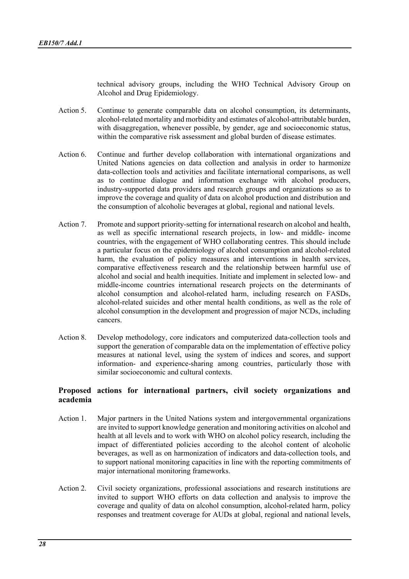technical advisory groups, including the WHO Technical Advisory Group on Alcohol and Drug Epidemiology.

- Action 5. Continue to generate comparable data on alcohol consumption, its determinants, alcohol-related mortality and morbidity and estimates of alcohol-attributable burden, with disaggregation, whenever possible, by gender, age and socioeconomic status, within the comparative risk assessment and global burden of disease estimates.
- Action 6. Continue and further develop collaboration with international organizations and United Nations agencies on data collection and analysis in order to harmonize data-collection tools and activities and facilitate international comparisons, as well as to continue dialogue and information exchange with alcohol producers, industry-supported data providers and research groups and organizations so as to improve the coverage and quality of data on alcohol production and distribution and the consumption of alcoholic beverages at global, regional and national levels.
- Action 7. Promote and support priority-setting for international research on alcohol and health, as well as specific international research projects, in low- and middle- income countries, with the engagement of WHO collaborating centres. This should include a particular focus on the epidemiology of alcohol consumption and alcohol-related harm, the evaluation of policy measures and interventions in health services, comparative effectiveness research and the relationship between harmful use of alcohol and social and health inequities. Initiate and implement in selected low- and middle-income countries international research projects on the determinants of alcohol consumption and alcohol-related harm, including research on FASDs, alcohol-related suicides and other mental health conditions, as well as the role of alcohol consumption in the development and progression of major NCDs, including cancers.
- Action 8. Develop methodology, core indicators and computerized data-collection tools and support the generation of comparable data on the implementation of effective policy measures at national level, using the system of indices and scores, and support information- and experience-sharing among countries, particularly those with similar socioeconomic and cultural contexts.

#### **Proposed actions for international partners, civil society organizations and academia**

- Action 1. Major partners in the United Nations system and intergovernmental organizations are invited to support knowledge generation and monitoring activities on alcohol and health at all levels and to work with WHO on alcohol policy research, including the impact of differentiated policies according to the alcohol content of alcoholic beverages, as well as on harmonization of indicators and data-collection tools, and to support national monitoring capacities in line with the reporting commitments of major international monitoring frameworks.
- Action 2. Civil society organizations, professional associations and research institutions are invited to support WHO efforts on data collection and analysis to improve the coverage and quality of data on alcohol consumption, alcohol-related harm, policy responses and treatment coverage for AUDs at global, regional and national levels,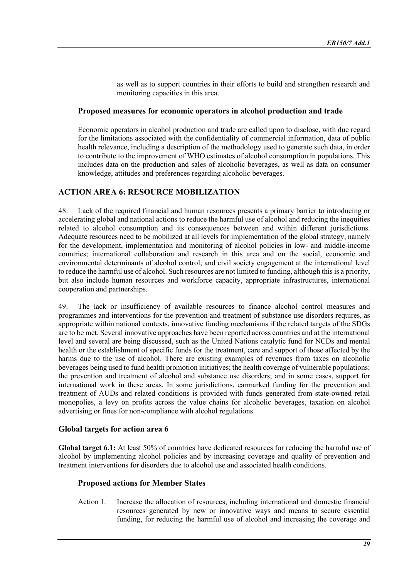as well as to support countries in their efforts to build and strengthen research and monitoring capacities in this area.

#### **Proposed measures for economic operators in alcohol production and trade**

Economic operators in alcohol production and trade are called upon to disclose, with due regard for the limitations associated with the confidentiality of commercial information, data of public health relevance, including a description of the methodology used to generate such data, in order to contribute to the improvement of WHO estimates of alcohol consumption in populations. This includes data on the production and sales of alcoholic beverages, as well as data on consumer knowledge, attitudes and preferences regarding alcoholic beverages.

# **ACTION AREA 6: RESOURCE MOBILIZATION**

48. Lack of the required financial and human resources presents a primary barrier to introducing or accelerating global and national actions to reduce the harmful use of alcohol and reducing the inequities related to alcohol consumption and its consequences between and within different jurisdictions. Adequate resources need to be mobilized at all levels for implementation of the global strategy, namely for the development, implementation and monitoring of alcohol policies in low- and middle-income countries; international collaboration and research in this area and on the social, economic and environmental determinants of alcohol control; and civil society engagement at the international level to reduce the harmful use of alcohol. Such resources are not limited to funding, although this is a priority, but also include human resources and workforce capacity, appropriate infrastructures, international cooperation and partnerships.

49. The lack or insufficiency of available resources to finance alcohol control measures and programmes and interventions for the prevention and treatment of substance use disorders requires, as appropriate within national contexts, innovative funding mechanisms if the related targets of the SDGs are to be met. Several innovative approaches have been reported across countries and at the international level and several are being discussed, such as the United Nations catalytic fund for NCDs and mental health or the establishment of specific funds for the treatment, care and support of those affected by the harms due to the use of alcohol. There are existing examples of revenues from taxes on alcoholic beverages being used to fund health promotion initiatives; the health coverage of vulnerable populations; the prevention and treatment of alcohol and substance use disorders; and in some cases, support for international work in these areas. In some jurisdictions, earmarked funding for the prevention and treatment of AUDs and related conditions is provided with funds generated from state-owned retail monopolies, a levy on profits across the value chains for alcoholic beverages, taxation on alcohol advertising or fines for non-compliance with alcohol regulations.

## **Global targets for action area 6**

**Global target 6.1:** At least 50% of countries have dedicated resources for reducing the harmful use of alcohol by implementing alcohol policies and by increasing coverage and quality of prevention and treatment interventions for disorders due to alcohol use and associated health conditions.

#### **Proposed actions for Member States**

Action 1. Increase the allocation of resources, including international and domestic financial resources generated by new or innovative ways and means to secure essential funding, for reducing the harmful use of alcohol and increasing the coverage and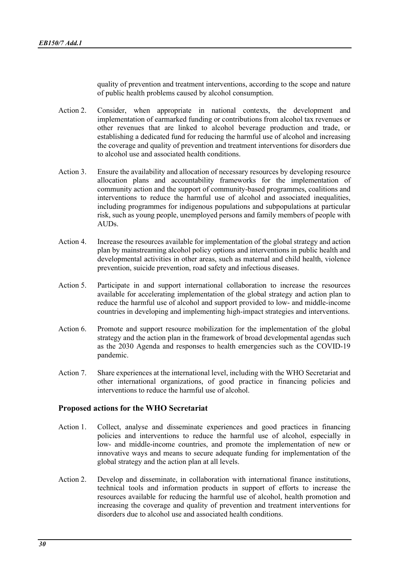quality of prevention and treatment interventions, according to the scope and nature of public health problems caused by alcohol consumption.

- Action 2. Consider, when appropriate in national contexts, the development and implementation of earmarked funding or contributions from alcohol tax revenues or other revenues that are linked to alcohol beverage production and trade, or establishing a dedicated fund for reducing the harmful use of alcohol and increasing the coverage and quality of prevention and treatment interventions for disorders due to alcohol use and associated health conditions.
- Action 3. Ensure the availability and allocation of necessary resources by developing resource allocation plans and accountability frameworks for the implementation of community action and the support of community-based programmes, coalitions and interventions to reduce the harmful use of alcohol and associated inequalities, including programmes for indigenous populations and subpopulations at particular risk, such as young people, unemployed persons and family members of people with AUDs.
- Action 4. Increase the resources available for implementation of the global strategy and action plan by mainstreaming alcohol policy options and interventions in public health and developmental activities in other areas, such as maternal and child health, violence prevention, suicide prevention, road safety and infectious diseases.
- Action 5. Participate in and support international collaboration to increase the resources available for accelerating implementation of the global strategy and action plan to reduce the harmful use of alcohol and support provided to low- and middle-income countries in developing and implementing high-impact strategies and interventions.
- Action 6. Promote and support resource mobilization for the implementation of the global strategy and the action plan in the framework of broad developmental agendas such as the 2030 Agenda and responses to health emergencies such as the COVID-19 pandemic.
- Action 7. Share experiences at the international level, including with the WHO Secretariat and other international organizations, of good practice in financing policies and interventions to reduce the harmful use of alcohol.

#### **Proposed actions for the WHO Secretariat**

- Action 1. Collect, analyse and disseminate experiences and good practices in financing policies and interventions to reduce the harmful use of alcohol, especially in low- and middle-income countries, and promote the implementation of new or innovative ways and means to secure adequate funding for implementation of the global strategy and the action plan at all levels.
- Action 2. Develop and disseminate, in collaboration with international finance institutions, technical tools and information products in support of efforts to increase the resources available for reducing the harmful use of alcohol, health promotion and increasing the coverage and quality of prevention and treatment interventions for disorders due to alcohol use and associated health conditions.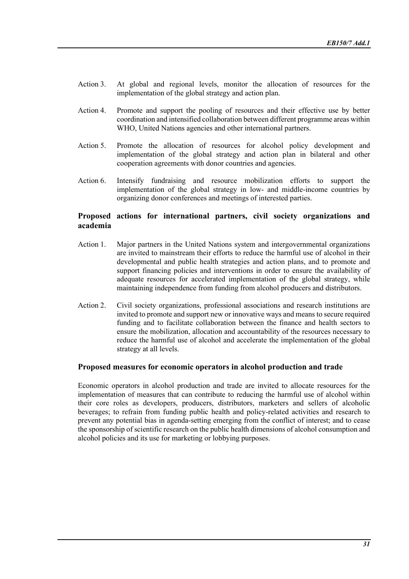- Action 3. At global and regional levels, monitor the allocation of resources for the implementation of the global strategy and action plan.
- Action 4. Promote and support the pooling of resources and their effective use by better coordination and intensified collaboration between different programme areas within WHO, United Nations agencies and other international partners.
- Action 5. Promote the allocation of resources for alcohol policy development and implementation of the global strategy and action plan in bilateral and other cooperation agreements with donor countries and agencies.
- Action 6. Intensify fundraising and resource mobilization efforts to support the implementation of the global strategy in low- and middle-income countries by organizing donor conferences and meetings of interested parties.

## **Proposed actions for international partners, civil society organizations and academia**

- Action 1. Major partners in the United Nations system and intergovernmental organizations are invited to mainstream their efforts to reduce the harmful use of alcohol in their developmental and public health strategies and action plans, and to promote and support financing policies and interventions in order to ensure the availability of adequate resources for accelerated implementation of the global strategy, while maintaining independence from funding from alcohol producers and distributors.
- Action 2. Civil society organizations, professional associations and research institutions are invited to promote and support new or innovative ways and means to secure required funding and to facilitate collaboration between the finance and health sectors to ensure the mobilization, allocation and accountability of the resources necessary to reduce the harmful use of alcohol and accelerate the implementation of the global strategy at all levels.

#### **Proposed measures for economic operators in alcohol production and trade**

Economic operators in alcohol production and trade are invited to allocate resources for the implementation of measures that can contribute to reducing the harmful use of alcohol within their core roles as developers, producers, distributors, marketers and sellers of alcoholic beverages; to refrain from funding public health and policy-related activities and research to prevent any potential bias in agenda-setting emerging from the conflict of interest; and to cease the sponsorship of scientific research on the public health dimensions of alcohol consumption and alcohol policies and its use for marketing or lobbying purposes.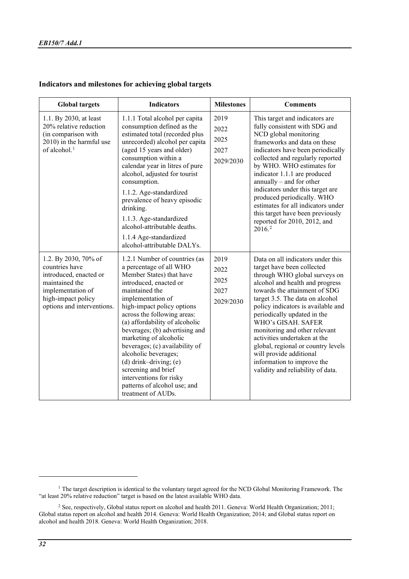# **Indicators and milestones for achieving global targets**

| <b>Global targets</b>                                                                                                                                       | <b>Indicators</b>                                                                                                                                                                                                                                                                                                                                                                                                                                                                                                | <b>Milestones</b>                         | <b>Comments</b>                                                                                                                                                                                                                                                                                                                                                                                                                                                                                         |
|-------------------------------------------------------------------------------------------------------------------------------------------------------------|------------------------------------------------------------------------------------------------------------------------------------------------------------------------------------------------------------------------------------------------------------------------------------------------------------------------------------------------------------------------------------------------------------------------------------------------------------------------------------------------------------------|-------------------------------------------|---------------------------------------------------------------------------------------------------------------------------------------------------------------------------------------------------------------------------------------------------------------------------------------------------------------------------------------------------------------------------------------------------------------------------------------------------------------------------------------------------------|
| 1.1. By 2030, at least<br>20% relative reduction<br>(in comparison with<br>2010) in the harmful use<br>of alcohol. $1$                                      | 1.1.1 Total alcohol per capita<br>consumption defined as the<br>estimated total (recorded plus<br>unrecorded) alcohol per capita<br>(aged 15 years and older)<br>consumption within a<br>calendar year in litres of pure<br>alcohol, adjusted for tourist<br>consumption.<br>1.1.2. Age-standardized<br>prevalence of heavy episodic<br>drinking.<br>1.1.3. Age-standardized<br>alcohol-attributable deaths.<br>1.1.4 Age-standardized<br>alcohol-attributable DALYs.                                            | 2019<br>2022<br>2025<br>2027<br>2029/2030 | This target and indicators are<br>fully consistent with SDG and<br>NCD global monitoring<br>frameworks and data on these<br>indicators have been periodically<br>collected and regularly reported<br>by WHO. WHO estimates for<br>indicator 1.1.1 are produced<br>annually $-$ and for other<br>indicators under this target are<br>produced periodically. WHO<br>estimates for all indicators under<br>this target have been previously<br>reported for 2010, 2012, and<br>2016. <sup>2</sup>          |
| 1.2. By 2030, 70% of<br>countries have<br>introduced, enacted or<br>maintained the<br>implementation of<br>high-impact policy<br>options and interventions. | 1.2.1 Number of countries (as<br>a percentage of all WHO<br>Member States) that have<br>introduced, enacted or<br>maintained the<br>implementation of<br>high-impact policy options<br>across the following areas:<br>(a) affordability of alcoholic<br>beverages; (b) advertising and<br>marketing of alcoholic<br>beverages; (c) availability of<br>alcoholic beverages;<br>$(d)$ drink-driving; $(e)$<br>screening and brief<br>interventions for risky<br>patterns of alcohol use; and<br>treatment of AUDs. | 2019<br>2022<br>2025<br>2027<br>2029/2030 | Data on all indicators under this<br>target have been collected<br>through WHO global surveys on<br>alcohol and health and progress<br>towards the attainment of SDG<br>target 3.5. The data on alcohol<br>policy indicators is available and<br>periodically updated in the<br>WHO's GISAH. SAFER<br>monitoring and other relevant<br>activities undertaken at the<br>global, regional or country levels<br>will provide additional<br>information to improve the<br>validity and reliability of data. |

<span id="page-31-0"></span><sup>&</sup>lt;sup>1</sup> The target description is identical to the voluntary target agreed for the NCD Global Monitoring Framework. The "at least 20% relative reduction" target is based on the latest available WHO data.

<span id="page-31-1"></span><sup>&</sup>lt;sup>2</sup> See, respectively, Global status report on alcohol and health 2011. Geneva: World Health Organization; 2011; Global status report on alcohol and health 2014. Geneva: World Health Organization; 2014; and Global status report on alcohol and health 2018. Geneva: World Health Organization; 2018.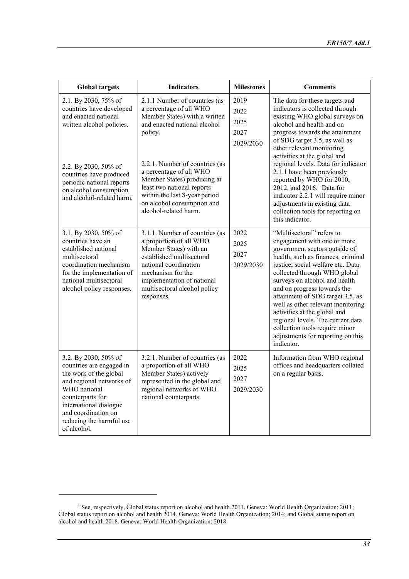| <b>Global targets</b>                                                                                                                                                                                                                        | <b>Indicators</b>                                                                                                                                                                                                                                                                                                                                      | <b>Milestones</b>                         | <b>Comments</b>                                                                                                                                                                                                                                                                                                                                                                                                                                                                                                                            |
|----------------------------------------------------------------------------------------------------------------------------------------------------------------------------------------------------------------------------------------------|--------------------------------------------------------------------------------------------------------------------------------------------------------------------------------------------------------------------------------------------------------------------------------------------------------------------------------------------------------|-------------------------------------------|--------------------------------------------------------------------------------------------------------------------------------------------------------------------------------------------------------------------------------------------------------------------------------------------------------------------------------------------------------------------------------------------------------------------------------------------------------------------------------------------------------------------------------------------|
| 2.1. By 2030, 75% of<br>countries have developed<br>and enacted national<br>written alcohol policies.<br>2.2. By 2030, 50% of<br>countries have produced<br>periodic national reports<br>on alcohol consumption<br>and alcohol-related harm. | 2.1.1 Number of countries (as<br>a percentage of all WHO<br>Member States) with a written<br>and enacted national alcohol<br>policy.<br>2.2.1. Number of countries (as<br>a percentage of all WHO<br>Member States) producing at<br>least two national reports<br>within the last 8-year period<br>on alcohol consumption and<br>alcohol-related harm. | 2019<br>2022<br>2025<br>2027<br>2029/2030 | The data for these targets and<br>indicators is collected through<br>existing WHO global surveys on<br>alcohol and health and on<br>progress towards the attainment<br>of SDG target 3.5, as well as<br>other relevant monitoring<br>activities at the global and<br>regional levels. Data for indicator<br>2.1.1 have been previously<br>reported by WHO for 2010,<br>2012, and 2016. <sup>1</sup> Data for<br>indicator 2.2.1 will require minor<br>adjustments in existing data<br>collection tools for reporting on<br>this indicator. |
| 3.1. By 2030, 50% of<br>countries have an<br>established national<br>multisectoral<br>coordination mechanism<br>for the implementation of<br>national multisectoral<br>alcohol policy responses.                                             | 3.1.1. Number of countries (as<br>a proportion of all WHO<br>Member States) with an<br>established multisectoral<br>national coordination<br>mechanism for the<br>implementation of national<br>multisectoral alcohol policy<br>responses.                                                                                                             | 2022<br>2025<br>2027<br>2029/2030         | "Multisectoral" refers to<br>engagement with one or more<br>government sectors outside of<br>health, such as finances, criminal<br>justice, social welfare etc. Data<br>collected through WHO global<br>surveys on alcohol and health<br>and on progress towards the<br>attainment of SDG target 3.5, as<br>well as other relevant monitoring<br>activities at the global and<br>regional levels. The current data<br>collection tools require minor<br>adjustments for reporting on this<br>indicator.                                    |
| 3.2. By 2030, 50% of<br>countries are engaged in<br>the work of the global<br>and regional networks of<br>WHO national<br>counterparts for<br>international dialogue<br>and coordination on<br>reducing the harmful use<br>of alcohol.       | 3.2.1. Number of countries (as<br>a proportion of all WHO<br>Member States) actively<br>represented in the global and<br>regional networks of WHO<br>national counterparts.                                                                                                                                                                            | 2022<br>2025<br>2027<br>2029/2030         | Information from WHO regional<br>offices and headquarters collated<br>on a regular basis.                                                                                                                                                                                                                                                                                                                                                                                                                                                  |

<span id="page-32-0"></span><sup>&</sup>lt;sup>1</sup> See, respectively, Global status report on alcohol and health 2011. Geneva: World Health Organization; 2011; Global status report on alcohol and health 2014. Geneva: World Health Organization; 2014; and Global status report on alcohol and health 2018. Geneva: World Health Organization; 2018.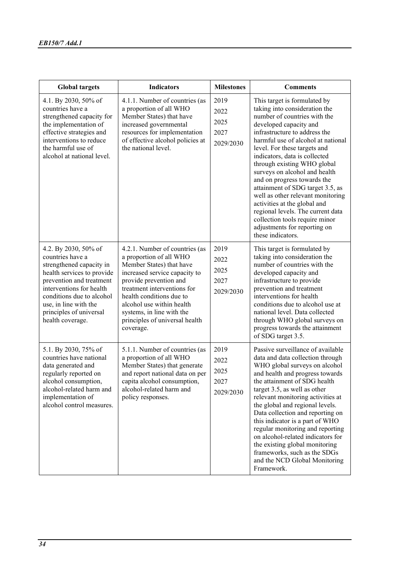| <b>Global targets</b>                                                                                                                                                                                                                                           | <b>Indicators</b>                                                                                                                                                                                                                                                                                                    | <b>Milestones</b>                         | <b>Comments</b>                                                                                                                                                                                                                                                                                                                                                                                                                                                                                                                                                                                     |
|-----------------------------------------------------------------------------------------------------------------------------------------------------------------------------------------------------------------------------------------------------------------|----------------------------------------------------------------------------------------------------------------------------------------------------------------------------------------------------------------------------------------------------------------------------------------------------------------------|-------------------------------------------|-----------------------------------------------------------------------------------------------------------------------------------------------------------------------------------------------------------------------------------------------------------------------------------------------------------------------------------------------------------------------------------------------------------------------------------------------------------------------------------------------------------------------------------------------------------------------------------------------------|
| 4.1. By 2030, 50% of<br>countries have a<br>strengthened capacity for<br>the implementation of<br>effective strategies and<br>interventions to reduce<br>the harmful use of<br>alcohol at national level.                                                       | 4.1.1. Number of countries (as<br>a proportion of all WHO<br>Member States) that have<br>increased governmental<br>resources for implementation<br>of effective alcohol policies at<br>the national level.                                                                                                           | 2019<br>2022<br>2025<br>2027<br>2029/2030 | This target is formulated by<br>taking into consideration the<br>number of countries with the<br>developed capacity and<br>infrastructure to address the<br>harmful use of alcohol at national<br>level. For these targets and<br>indicators, data is collected<br>through existing WHO global<br>surveys on alcohol and health<br>and on progress towards the<br>attainment of SDG target 3.5, as<br>well as other relevant monitoring<br>activities at the global and<br>regional levels. The current data<br>collection tools require minor<br>adjustments for reporting on<br>these indicators. |
| 4.2. By 2030, 50% of<br>countries have a<br>strengthened capacity in<br>health services to provide<br>prevention and treatment<br>interventions for health<br>conditions due to alcohol<br>use, in line with the<br>principles of universal<br>health coverage. | 4.2.1. Number of countries (as<br>a proportion of all WHO<br>Member States) that have<br>increased service capacity to<br>provide prevention and<br>treatment interventions for<br>health conditions due to<br>alcohol use within health<br>systems, in line with the<br>principles of universal health<br>coverage. | 2019<br>2022<br>2025<br>2027<br>2029/2030 | This target is formulated by<br>taking into consideration the<br>number of countries with the<br>developed capacity and<br>infrastructure to provide<br>prevention and treatment<br>interventions for health<br>conditions due to alcohol use at<br>national level. Data collected<br>through WHO global surveys on<br>progress towards the attainment<br>of SDG target 3.5.                                                                                                                                                                                                                        |
| 5.1. By 2030, 75% of<br>countries have national<br>data generated and<br>regularly reported on<br>alcohol consumption,<br>alcohol-related harm and<br>implementation of<br>alcohol control measures.                                                            | 5.1.1. Number of countries (as<br>a proportion of all WHO<br>Member States) that generate<br>and report national data on per<br>capita alcohol consumption,<br>alcohol-related harm and<br>policy responses.                                                                                                         | 2019<br>2022<br>2025<br>2027<br>2029/2030 | Passive surveillance of available<br>data and data collection through<br>WHO global surveys on alcohol<br>and health and progress towards<br>the attainment of SDG health<br>target 3.5, as well as other<br>relevant monitoring activities at<br>the global and regional levels.<br>Data collection and reporting on<br>this indicator is a part of WHO<br>regular monitoring and reporting<br>on alcohol-related indicators for<br>the existing global monitoring<br>frameworks, such as the SDGs<br>and the NCD Global Monitoring<br>Framework.                                                  |